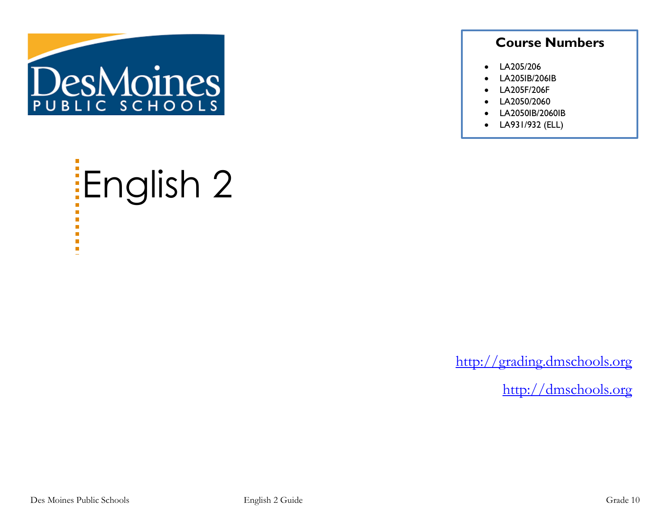

### **Course Numbers**

- LA205/206
- LA205IB/206IB
- LA205F/206F
- LA2050/2060
- LA2050IB/2060IB
- LA931/932 (ELL)

# English 2  $\blacksquare$  $\blacksquare$  $\mathcal{L}_{\mathcal{A}}$  $\blacksquare$

[http://grading.dmschools.org](http://grading.dmschools.org/)

[http://dmschools.org](http://dmschools.org/)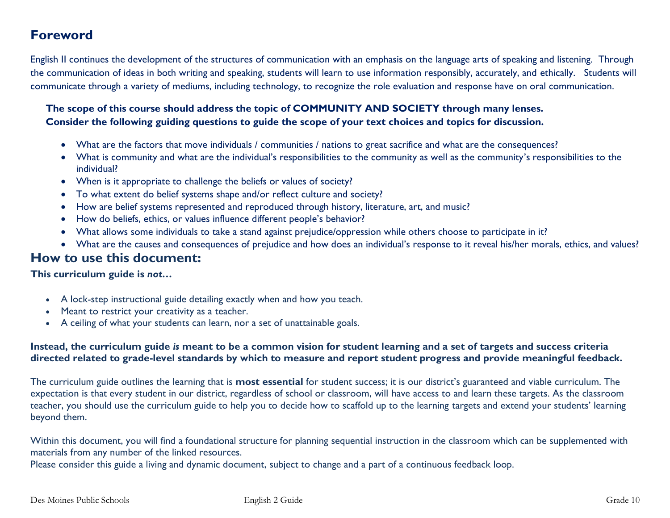### **Foreword**

English II continues the development of the structures of communication with an emphasis on the language arts of speaking and listening. Through the communication of ideas in both writing and speaking, students will learn to use information responsibly, accurately, and ethically. Students will communicate through a variety of mediums, including technology, to recognize the role evaluation and response have on oral communication.

### **The scope of this course should address the topic of COMMUNITY AND SOCIETY through many lenses. Consider the following guiding questions to guide the scope of your text choices and topics for discussion.**

- What are the factors that move individuals / communities / nations to great sacrifice and what are the consequences?
- What is community and what are the individual's responsibilities to the community as well as the community's responsibilities to the individual?
- When is it appropriate to challenge the beliefs or values of society?
- To what extent do belief systems shape and/or reflect culture and society?
- How are belief systems represented and reproduced through history, literature, art, and music?
- How do beliefs, ethics, or values influence different people's behavior?
- What allows some individuals to take a stand against prejudice/oppression while others choose to participate in it?
- What are the causes and consequences of prejudice and how does an individual's response to it reveal his/her morals, ethics, and values?

### **How to use this document:**

#### **This curriculum guide is** *not…*

- A lock-step instructional guide detailing exactly when and how you teach.
- Meant to restrict your creativity as a teacher.
- A ceiling of what your students can learn, nor a set of unattainable goals.

#### **Instead, the curriculum guide** *is* **meant to be a common vision for student learning and a set of targets and success criteria directed related to grade-level standards by which to measure and report student progress and provide meaningful feedback.**

The curriculum guide outlines the learning that is **most essential** for student success; it is our district's guaranteed and viable curriculum. The expectation is that every student in our district, regardless of school or classroom, will have access to and learn these targets. As the classroom teacher, you should use the curriculum guide to help you to decide how to scaffold up to the learning targets and extend your students' learning beyond them.

Within this document, you will find a foundational structure for planning sequential instruction in the classroom which can be supplemented with materials from any number of the linked resources.

Please consider this guide a living and dynamic document, subject to change and a part of a continuous feedback loop.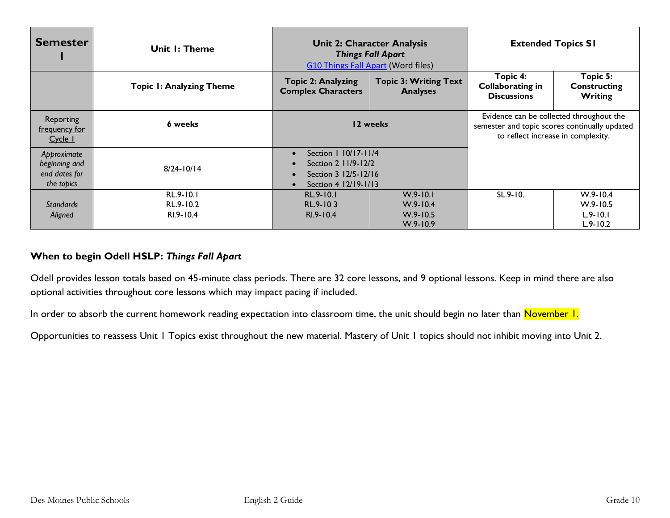| <b>Semester</b>                                             | Unit I: Theme                           |                                                                                                                       | <b>Unit 2: Character Analysis</b><br><b>Things Fall Apart</b><br><b>G10 Things Fall Apart (Word files)</b> | <b>Extended Topics SI</b>                                                                                                       |                                                              |
|-------------------------------------------------------------|-----------------------------------------|-----------------------------------------------------------------------------------------------------------------------|------------------------------------------------------------------------------------------------------------|---------------------------------------------------------------------------------------------------------------------------------|--------------------------------------------------------------|
|                                                             | <b>Topic I: Analyzing Theme</b>         | <b>Topic 2: Analyzing</b><br><b>Complex Characters</b>                                                                | <b>Topic 3: Writing Text</b><br><b>Analyses</b>                                                            | Topic 4:<br><b>Collaborating in</b><br><b>Discussions</b>                                                                       | Topic 5:<br><b>Constructing</b><br>Writing                   |
| Reporting<br>trequency for<br>Cycle 1                       | 6 weeks                                 | 12 weeks                                                                                                              |                                                                                                            | Evidence can be collected throughout the<br>semester and topic scores continually updated<br>to reflect increase in complexity. |                                                              |
| Approximate<br>beginning and<br>end dates for<br>the topics | $8/24 - 10/14$                          | Section 1 10/17-11/4<br>$\bullet$<br>Section 2 11/9-12/2<br>Section 3 12/5-12/16<br>Section 4 12/19-1/13<br>$\bullet$ |                                                                                                            |                                                                                                                                 |                                                              |
| <b>Standards</b><br>Aligned                                 | RL.9-10.1<br>RL.9-10.2<br>$RI.9 - I0.4$ | RL.9-10.1<br>RL.9-103<br>$RI.9 - I0.4$                                                                                | $W.9 - 10.1$<br>$W.9 - 10.4$<br>$W.9 - 10.5$<br>$W.9 - 10.9$                                               | $SL.9 - 10.$                                                                                                                    | $W.9 - 10.4$<br>$W.9 - 10.5$<br>$L.9 - 10.1$<br>$L.9 - 10.2$ |

#### **When to begin Odell HSLP:** *Things Fall Apart*

Odell provides lesson totals based on 45-minute class periods. There are 32 core lessons, and 9 optional lessons. Keep in mind there are also optional activities throughout core lessons which may impact pacing if included.

In order to absorb the current homework reading expectation into classroom time, the unit should begin no later than November I.

Opportunities to reassess Unit 1 Topics exist throughout the new material. Mastery of Unit 1 topics should not inhibit moving into Unit 2.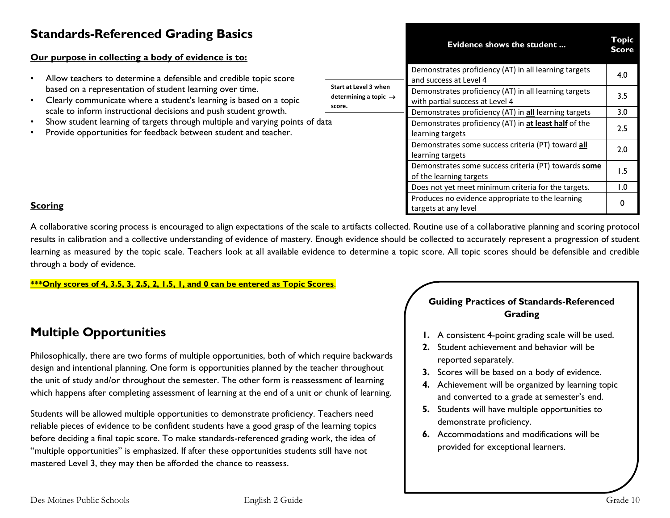### **Standards-Referenced Grading Basics**

#### **Our purpose in collecting a body of evidence is to:**

- Allow teachers to determine a defensible and credible topic score based on a representation of student learning over time.
- Clearly communicate where a student's learning is based on a topic scale to inform instructional decisions and push student growth.
- Show student learning of targets through multiple and varying points of data
- Provide opportunities for feedback between student and teacher.

|                                                                      | <b>Evidence shows the student</b>                                                        | Topic<br>Score |
|----------------------------------------------------------------------|------------------------------------------------------------------------------------------|----------------|
|                                                                      | Demonstrates proficiency (AT) in all learning targets<br>and success at Level 4          | 4.0            |
| Start at Level 3 when<br>determining a topic $\rightarrow$<br>score. | Demonstrates proficiency (AT) in all learning targets<br>with partial success at Level 4 | 3.5            |
|                                                                      | Demonstrates proficiency (AT) in all learning targets                                    | 3.0            |
|                                                                      | Demonstrates proficiency (AT) in at least half of the<br>learning targets                | 2.5            |
|                                                                      | Demonstrates some success criteria (PT) toward all<br>learning targets                   | 2.0            |
|                                                                      | Demonstrates some success criteria (PT) towards some<br>of the learning targets          | 1.5            |
|                                                                      | Does not yet meet minimum criteria for the targets.                                      | 1.0            |
|                                                                      | Produces no evidence appropriate to the learning<br>targets at any level                 | 0              |

#### **Scoring**

A collaborative scoring process is encouraged to align expectations of the scale to artifacts collected. Routine use of a collaborative planning and scoring protocol results in calibration and a collective understanding of evidence of mastery. Enough evidence should be collected to accurately represent a progression of student learning as measured by the topic scale. Teachers look at all available evidence to determine a topic score. All topic scores should be defensible and credible through a body of evidence.

**\*\*\*Only scores of 4, 3.5, 3, 2.5, 2, 1.5, 1, and 0 can be entered as Topic Scores**.

### **Multiple Opportunities**

Philosophically, there are two forms of multiple opportunities, both of which require backwards design and intentional planning. One form is opportunities planned by the teacher throughout the unit of study and/or throughout the semester. The other form is reassessment of learning which happens after completing assessment of learning at the end of a unit or chunk of learning.

Students will be allowed multiple opportunities to demonstrate proficiency. Teachers need reliable pieces of evidence to be confident students have a good grasp of the learning topics before deciding a final topic score. To make standards-referenced grading work, the idea of "multiple opportunities" is emphasized. If after these opportunities students still have not mastered Level 3, they may then be afforded the chance to reassess.

#### **Guiding Practices of Standards-Referenced Grading**

- **1.** A consistent 4-point grading scale will be used.
- **2.** Student achievement and behavior will be reported separately.
- **3.** Scores will be based on a body of evidence.
- **4.** Achievement will be organized by learning topic and converted to a grade at semester's end.
- **5.** Students will have multiple opportunities to demonstrate proficiency.
- **6.** Accommodations and modifications will be provided for exceptional learners.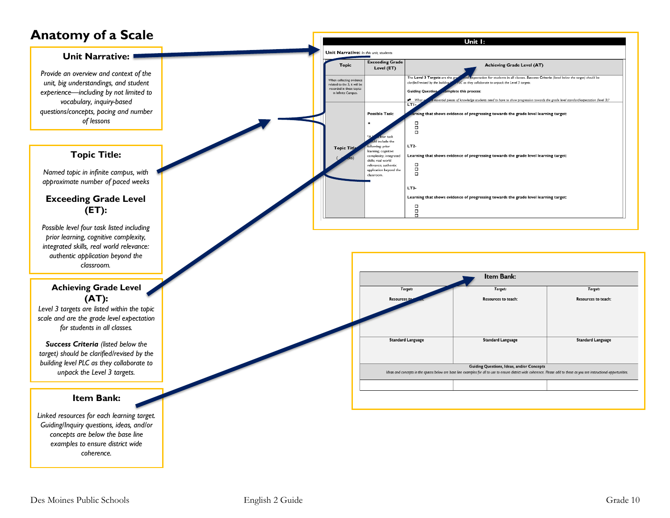### **Anatomy of a Scale**

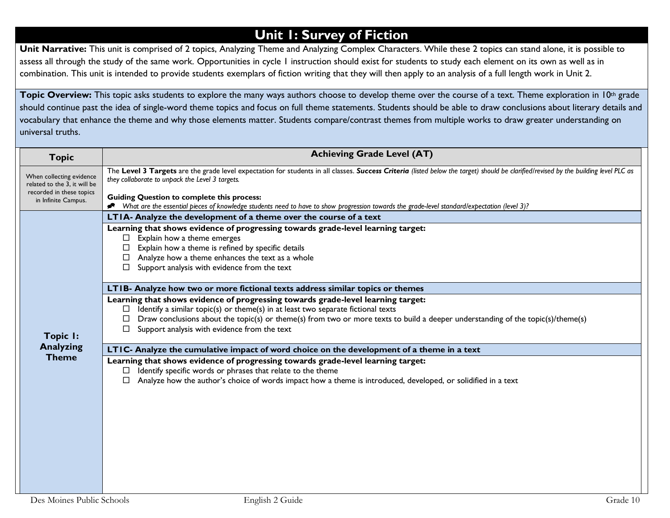## **Unit 1: Survey of Fiction**

Unit Narrative: This unit is comprised of 2 topics, Analyzing Theme and Analyzing Complex Characters. While these 2 topics can stand alone, it is possible to assess all through the study of the same work. Opportunities in cycle 1 instruction should exist for students to study each element on its own as well as in combination. This unit is intended to provide students exemplars of fiction writing that they will then apply to an analysis of a full length work in Unit 2.

Topic Overview: This topic asks students to explore the many ways authors choose to develop theme over the course of a text. Theme exploration in 10<sup>th</sup> grade should continue past the idea of single-word theme topics and focus on full theme statements. Students should be able to draw conclusions about literary details and vocabulary that enhance the theme and why those elements matter. Students compare/contrast themes from multiple works to draw greater understanding on universal truths.

| <b>Topic</b>                                                                         | <b>Achieving Grade Level (AT)</b>                                                                                                                                                                                                       |
|--------------------------------------------------------------------------------------|-----------------------------------------------------------------------------------------------------------------------------------------------------------------------------------------------------------------------------------------|
| When collecting evidence<br>related to the 3, it will be<br>recorded in these topics | The Level 3 Targets are the grade level expectation for students in all classes. Success Criteria (listed below the target) should be clarified/revised by the building level PLC as<br>they collaborate to unpack the Level 3 targets. |
| in Infinite Campus.                                                                  | <b>Guiding Question to complete this process:</b><br>What are the essential pieces of knowledge students need to have to show progression towards the grade-level standard/expectation (level 3)?                                       |
|                                                                                      | LTIA- Analyze the development of a theme over the course of a text                                                                                                                                                                      |
|                                                                                      | Learning that shows evidence of progressing towards grade-level learning target:                                                                                                                                                        |
|                                                                                      | Explain how a theme emerges<br>□<br>Explain how a theme is refined by specific details                                                                                                                                                  |
|                                                                                      | Analyze how a theme enhances the text as a whole                                                                                                                                                                                        |
|                                                                                      | Support analysis with evidence from the text                                                                                                                                                                                            |
|                                                                                      | LTIB- Analyze how two or more fictional texts address similar topics or themes                                                                                                                                                          |
|                                                                                      | Learning that shows evidence of progressing towards grade-level learning target:                                                                                                                                                        |
|                                                                                      | Identify a similar topic(s) or theme(s) in at least two separate fictional texts<br>Draw conclusions about the topic(s) or theme(s) from two or more texts to build a deeper understanding of the topic(s)/theme(s)                     |
| <b>Topic I:</b>                                                                      | Support analysis with evidence from the text<br>□                                                                                                                                                                                       |
| <b>Analyzing</b>                                                                     | LTIC- Analyze the cumulative impact of word choice on the development of a theme in a text                                                                                                                                              |
| <b>Theme</b>                                                                         | Learning that shows evidence of progressing towards grade-level learning target:                                                                                                                                                        |
|                                                                                      | Identify specific words or phrases that relate to the theme<br>$\Box$<br>Analyze how the author's choice of words impact how a theme is introduced, developed, or solidified in a text                                                  |
|                                                                                      |                                                                                                                                                                                                                                         |
|                                                                                      |                                                                                                                                                                                                                                         |
|                                                                                      |                                                                                                                                                                                                                                         |
|                                                                                      |                                                                                                                                                                                                                                         |
|                                                                                      |                                                                                                                                                                                                                                         |
|                                                                                      |                                                                                                                                                                                                                                         |
|                                                                                      |                                                                                                                                                                                                                                         |
|                                                                                      |                                                                                                                                                                                                                                         |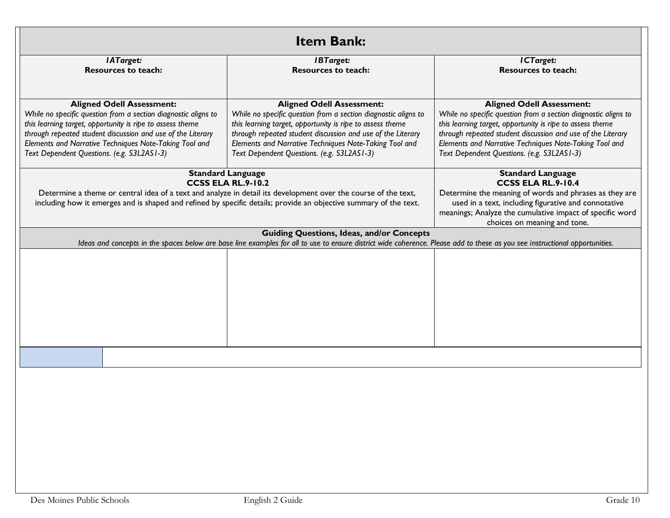| <b>Item Bank:</b>                                                                                                                                                                                                                                                                                                                      |                                                                                                                                                                                                                                                                                                                                        |                                                                                                                                                                                                                                                                                                                                        |  |
|----------------------------------------------------------------------------------------------------------------------------------------------------------------------------------------------------------------------------------------------------------------------------------------------------------------------------------------|----------------------------------------------------------------------------------------------------------------------------------------------------------------------------------------------------------------------------------------------------------------------------------------------------------------------------------------|----------------------------------------------------------------------------------------------------------------------------------------------------------------------------------------------------------------------------------------------------------------------------------------------------------------------------------------|--|
| <b>IATarget:</b><br><b>Resources to teach:</b>                                                                                                                                                                                                                                                                                         | <b>IBTarget:</b><br><b>Resources to teach:</b>                                                                                                                                                                                                                                                                                         | ICTarget:<br><b>Resources to teach:</b>                                                                                                                                                                                                                                                                                                |  |
| <b>Aligned Odell Assessment:</b><br>While no specific question from a section diagnostic aligns to<br>this learning target, opportunity is ripe to assess theme<br>through repeated student discussion and use of the Literary<br>Elements and Narrative Techniques Note-Taking Tool and<br>Text Dependent Questions. (e.g. S3L2AS1-3) | <b>Aligned Odell Assessment:</b><br>While no specific question from a section diagnostic aligns to<br>this learning target, opportunity is ripe to assess theme<br>through repeated student discussion and use of the Literary<br>Elements and Narrative Techniques Note-Taking Tool and<br>Text Dependent Questions. (e.g. S3L2AS1-3) | <b>Aligned Odell Assessment:</b><br>While no specific question from a section diagnostic aligns to<br>this learning target, opportunity is ripe to assess theme<br>through repeated student discussion and use of the Literary<br>Elements and Narrative Techniques Note-Taking Tool and<br>Text Dependent Questions. (e.g. S3L2AS1-3) |  |
| <b>Standard Language</b><br><b>CCSS ELA RL.9-10.2</b><br>Determine a theme or central idea of a text and analyze in detail its development over the course of the text,<br>including how it emerges and is shaped and refined by specific details; provide an objective summary of the text.                                           |                                                                                                                                                                                                                                                                                                                                        | <b>Standard Language</b><br><b>CCSS ELA RL.9-10.4</b><br>Determine the meaning of words and phrases as they are<br>used in a text, including figurative and connotative<br>meanings; Analyze the cumulative impact of specific word<br>choices on meaning and tone.                                                                    |  |
| <b>Guiding Questions, Ideas, and/or Concepts</b><br>Ideas and concepts in the spaces below are base line examples for all to use to ensure district wide coherence. Please add to these as you see instructional opportunities.                                                                                                        |                                                                                                                                                                                                                                                                                                                                        |                                                                                                                                                                                                                                                                                                                                        |  |
|                                                                                                                                                                                                                                                                                                                                        |                                                                                                                                                                                                                                                                                                                                        |                                                                                                                                                                                                                                                                                                                                        |  |
|                                                                                                                                                                                                                                                                                                                                        |                                                                                                                                                                                                                                                                                                                                        |                                                                                                                                                                                                                                                                                                                                        |  |
|                                                                                                                                                                                                                                                                                                                                        |                                                                                                                                                                                                                                                                                                                                        |                                                                                                                                                                                                                                                                                                                                        |  |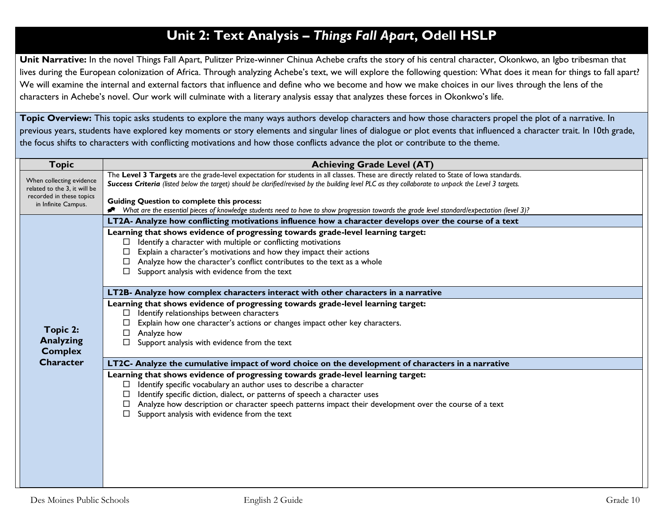## **Unit 2: Text Analysis –** *Things Fall Apart***, Odell HSLP**

**Unit Narrative:** In the novel Things Fall Apart, Pulitzer Prize-winner Chinua Achebe crafts the story of his central character, Okonkwo, an Igbo tribesman that lives during the European colonization of Africa. Through analyzing Achebe's text, we will explore the following question: What does it mean for things to fall apart? We will examine the internal and external factors that influence and define who we become and how we make choices in our lives through the lens of the characters in Achebe's novel. Our work will culminate with a literary analysis essay that analyzes these forces in Okonkwo's life.

Topic Overview: This topic asks students to explore the many ways authors develop characters and how those characters propel the plot of a narrative. In previous years, students have explored key moments or story elements and singular lines of dialogue or plot events that influenced a character trait. In 10th grade, the focus shifts to characters with conflicting motivations and how those conflicts advance the plot or contribute to the theme.

| <b>Topic</b>                                             | <b>Achieving Grade Level (AT)</b>                                                                                                                                                                                                                                                              |
|----------------------------------------------------------|------------------------------------------------------------------------------------------------------------------------------------------------------------------------------------------------------------------------------------------------------------------------------------------------|
| When collecting evidence<br>related to the 3, it will be | The Level 3 Targets are the grade-level expectation for students in all classes. These are directly related to State of lowa standards.<br>Success Criteria (listed below the target) should be clarified/revised by the building level PLC as they collaborate to unpack the Level 3 targets. |
| recorded in these topics<br>in Infinite Campus.          | <b>Guiding Question to complete this process:</b>                                                                                                                                                                                                                                              |
|                                                          | What are the essential pieces of knowledge students need to have to show progression towards the grade level standard/expectation (level 3)?                                                                                                                                                   |
|                                                          | LT2A- Analyze how conflicting motivations influence how a character develops over the course of a text                                                                                                                                                                                         |
|                                                          | Learning that shows evidence of progressing towards grade-level learning target:                                                                                                                                                                                                               |
|                                                          | Identify a character with multiple or conflicting motivations                                                                                                                                                                                                                                  |
|                                                          | Explain a character's motivations and how they impact their actions<br>Analyze how the character's conflict contributes to the text as a whole                                                                                                                                                 |
|                                                          | Support analysis with evidence from the text                                                                                                                                                                                                                                                   |
|                                                          |                                                                                                                                                                                                                                                                                                |
|                                                          | LT2B- Analyze how complex characters interact with other characters in a narrative                                                                                                                                                                                                             |
|                                                          | Learning that shows evidence of progressing towards grade-level learning target:                                                                                                                                                                                                               |
|                                                          | Identify relationships between characters<br>$\Box$                                                                                                                                                                                                                                            |
| Topic 2:                                                 | Explain how one character's actions or changes impact other key characters.                                                                                                                                                                                                                    |
| <b>Analyzing</b>                                         | Analyze how                                                                                                                                                                                                                                                                                    |
| <b>Complex</b>                                           | Support analysis with evidence from the text                                                                                                                                                                                                                                                   |
| <b>Character</b>                                         | LT2C- Analyze the cumulative impact of word choice on the development of characters in a narrative                                                                                                                                                                                             |
|                                                          | Learning that shows evidence of progressing towards grade-level learning target:                                                                                                                                                                                                               |
|                                                          | Identify specific vocabulary an author uses to describe a character                                                                                                                                                                                                                            |
|                                                          | Identify specific diction, dialect, or patterns of speech a character uses                                                                                                                                                                                                                     |
|                                                          | Analyze how description or character speech patterns impact their development over the course of a text                                                                                                                                                                                        |
|                                                          | Support analysis with evidence from the text                                                                                                                                                                                                                                                   |
|                                                          |                                                                                                                                                                                                                                                                                                |
|                                                          |                                                                                                                                                                                                                                                                                                |
|                                                          |                                                                                                                                                                                                                                                                                                |
|                                                          |                                                                                                                                                                                                                                                                                                |
|                                                          |                                                                                                                                                                                                                                                                                                |
|                                                          |                                                                                                                                                                                                                                                                                                |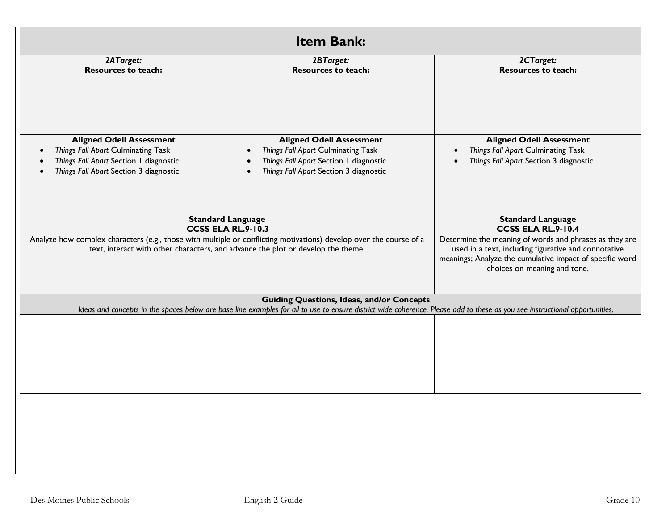| <b>Item Bank:</b>                                                                                                                                                                                                                                               |                                                                                                                                                                                                                                 |                                                                                                                                                                                                                                                                     |  |
|-----------------------------------------------------------------------------------------------------------------------------------------------------------------------------------------------------------------------------------------------------------------|---------------------------------------------------------------------------------------------------------------------------------------------------------------------------------------------------------------------------------|---------------------------------------------------------------------------------------------------------------------------------------------------------------------------------------------------------------------------------------------------------------------|--|
| 2ATarget:<br><b>Resources to teach:</b>                                                                                                                                                                                                                         | 2BTarget:<br><b>Resources to teach:</b>                                                                                                                                                                                         | 2CTarget:<br><b>Resources to teach:</b>                                                                                                                                                                                                                             |  |
| <b>Aligned Odell Assessment</b><br>Things Fall Apart Culminating Task<br>Things Fall Apart Section 1 diagnostic<br>Things Fall Apart Section 3 diagnostic                                                                                                       | <b>Aligned Odell Assessment</b><br>Things Fall Apart Culminating Task<br>$\bullet$<br>Things Fall Apart Section 1 diagnostic<br>$\bullet$<br>Things Fall Apart Section 3 diagnostic<br>$\bullet$                                | <b>Aligned Odell Assessment</b><br>Things Fall Apart Culminating Task<br>Things Fall Apart Section 3 diagnostic                                                                                                                                                     |  |
| <b>Standard Language</b><br><b>CCSS ELA RL.9-10.3</b><br>Analyze how complex characters (e.g., those with multiple or conflicting motivations) develop over the course of a<br>text, interact with other characters, and advance the plot or develop the theme. |                                                                                                                                                                                                                                 | <b>Standard Language</b><br><b>CCSS ELA RL.9-10.4</b><br>Determine the meaning of words and phrases as they are<br>used in a text, including figurative and connotative<br>meanings; Analyze the cumulative impact of specific word<br>choices on meaning and tone. |  |
|                                                                                                                                                                                                                                                                 | <b>Guiding Questions, Ideas, and/or Concepts</b><br>Ideas and concepts in the spaces below are base line examples for all to use to ensure district wide coherence. Please add to these as you see instructional opportunities. |                                                                                                                                                                                                                                                                     |  |
|                                                                                                                                                                                                                                                                 |                                                                                                                                                                                                                                 |                                                                                                                                                                                                                                                                     |  |
|                                                                                                                                                                                                                                                                 |                                                                                                                                                                                                                                 |                                                                                                                                                                                                                                                                     |  |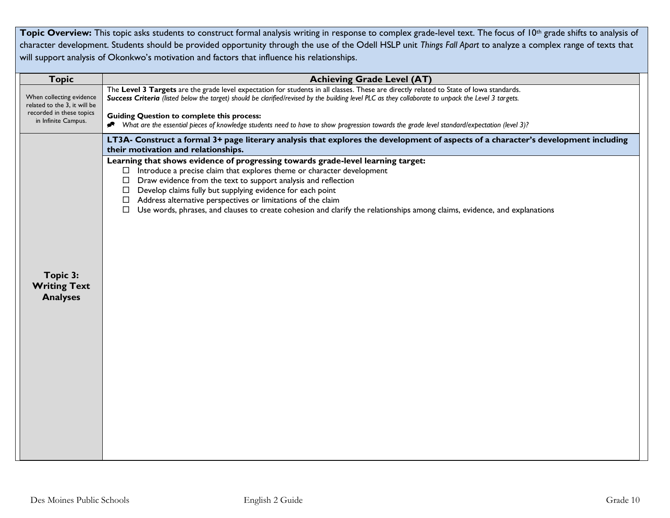Topic Overview: This topic asks students to construct formal analysis writing in response to complex grade-level text. The focus of 10<sup>th</sup> grade shifts to analysis of character development. Students should be provided opportunity through the use of the Odell HSLP unit *Things Fall Apart* to analyze a complex range of texts that will support analysis of Okonkwo's motivation and factors that influence his relationships.

| <b>Topic</b><br><b>Achieving Grade Level (AT)</b><br>The Level 3 Targets are the grade level expectation for students in all classes. These are directly related to State of lowa standards.<br>When collecting evidence<br>Success Criteria (listed below the target) should be clarified/revised by the building level PLC as they collaborate to unpack the Level 3 targets.<br>related to the 3, it will be<br>recorded in these topics<br><b>Guiding Question to complete this process:</b><br>in Infinite Campus.<br>Nhat are the essential pieces of knowledge students need to have to show progression towards the grade level standard/expectation (level 3)?<br>LT3A- Construct a formal 3+ page literary analysis that explores the development of aspects of a character's development including<br>their motivation and relationships.<br>Learning that shows evidence of progressing towards grade-level learning target:<br>$\Box$ Introduce a precise claim that explores theme or character development |
|---------------------------------------------------------------------------------------------------------------------------------------------------------------------------------------------------------------------------------------------------------------------------------------------------------------------------------------------------------------------------------------------------------------------------------------------------------------------------------------------------------------------------------------------------------------------------------------------------------------------------------------------------------------------------------------------------------------------------------------------------------------------------------------------------------------------------------------------------------------------------------------------------------------------------------------------------------------------------------------------------------------------------|
|                                                                                                                                                                                                                                                                                                                                                                                                                                                                                                                                                                                                                                                                                                                                                                                                                                                                                                                                                                                                                           |
| $\Box$ Draw evidence from the text to support analysis and reflection<br>$\Box$ Develop claims fully but supplying evidence for each point<br>Address alternative perspectives or limitations of the claim<br>$\Box$ Use words, phrases, and clauses to create cohesion and clarify the relationships among claims, evidence, and explanations<br>Topic 3:<br><b>Writing Text</b><br><b>Analyses</b>                                                                                                                                                                                                                                                                                                                                                                                                                                                                                                                                                                                                                      |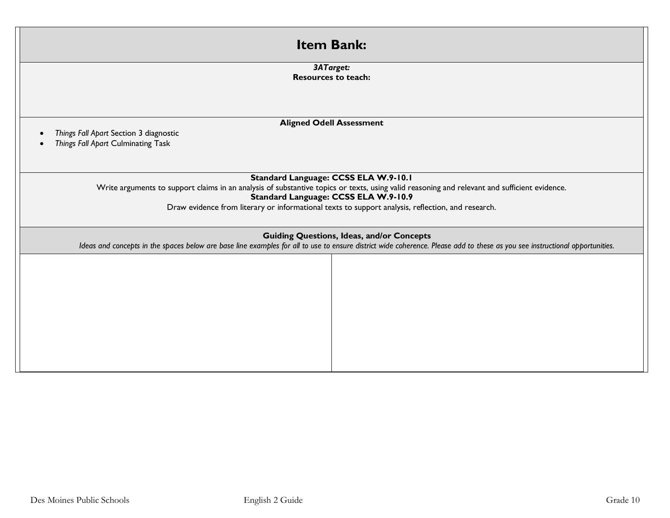| <b>Item Bank:</b>                                                                                                                                                                                                               |  |  |  |
|---------------------------------------------------------------------------------------------------------------------------------------------------------------------------------------------------------------------------------|--|--|--|
| 3ATarget:<br><b>Resources to teach:</b>                                                                                                                                                                                         |  |  |  |
|                                                                                                                                                                                                                                 |  |  |  |
|                                                                                                                                                                                                                                 |  |  |  |
| <b>Aligned Odell Assessment</b>                                                                                                                                                                                                 |  |  |  |
| Things Fall Apart Section 3 diagnostic<br>Things Fall Apart Culminating Task                                                                                                                                                    |  |  |  |
|                                                                                                                                                                                                                                 |  |  |  |
| Standard Language: CCSS ELA W.9-10.1<br>Write arguments to support claims in an analysis of substantive topics or texts, using valid reasoning and relevant and sufficient evidence.                                            |  |  |  |
| Standard Language: CCSS ELA W.9-10.9                                                                                                                                                                                            |  |  |  |
| Draw evidence from literary or informational texts to support analysis, reflection, and research.                                                                                                                               |  |  |  |
| <b>Guiding Questions, Ideas, and/or Concepts</b><br>Ideas and concepts in the spaces below are base line examples for all to use to ensure district wide coherence. Please add to these as you see instructional opportunities. |  |  |  |
|                                                                                                                                                                                                                                 |  |  |  |
|                                                                                                                                                                                                                                 |  |  |  |
|                                                                                                                                                                                                                                 |  |  |  |
|                                                                                                                                                                                                                                 |  |  |  |
|                                                                                                                                                                                                                                 |  |  |  |
|                                                                                                                                                                                                                                 |  |  |  |
|                                                                                                                                                                                                                                 |  |  |  |
|                                                                                                                                                                                                                                 |  |  |  |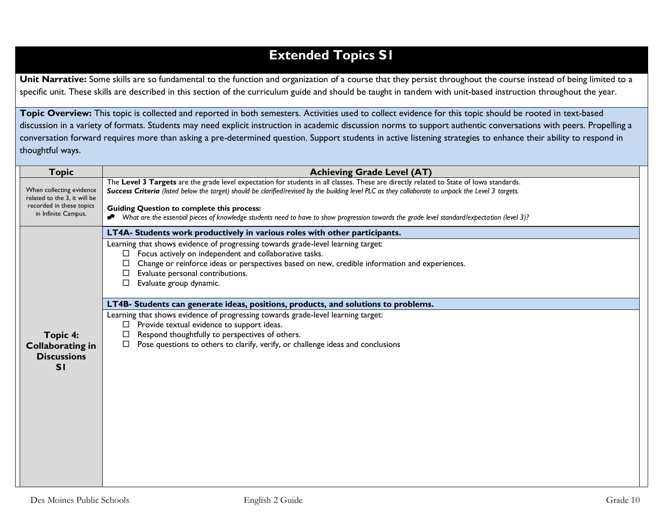### **Extended Topics S1**

Unit Narrative: Some skills are so fundamental to the function and organization of a course that they persist throughout the course instead of being limited to a specific unit. These skills are described in this section of the curriculum guide and should be taught in tandem with unit-based instruction throughout the year.

**Topic Overview:** This topic is collected and reported in both semesters. Activities used to collect evidence for this topic should be rooted in text-based discussion in a variety of formats. Students may need explicit instruction in academic discussion norms to support authentic conversations with peers. Propelling a conversation forward requires more than asking a pre-determined question. Support students in active listening strategies to enhance their ability to respond in thoughtful ways.

| <b>Topic</b>                                                    | <b>Achieving Grade Level (AT)</b>                                                                                                                                                                                                                                                                                         |
|-----------------------------------------------------------------|---------------------------------------------------------------------------------------------------------------------------------------------------------------------------------------------------------------------------------------------------------------------------------------------------------------------------|
| When collecting evidence<br>related to the 3, it will be        | The Level 3 Targets are the grade level expectation for students in all classes. These are directly related to State of lowa standards.<br>Success Criteria (listed below the target) should be clarified/revised by the building level PLC as they collaborate to unpack the Level 3 targets.                            |
| recorded in these topics<br>in Infinite Campus.                 | <b>Guiding Question to complete this process:</b><br>What are the essential pieces of knowledge students need to have to show progression towards the grade level standard/expectation (level 3)?                                                                                                                         |
|                                                                 | LT4A- Students work productively in various roles with other participants.                                                                                                                                                                                                                                                |
|                                                                 | Learning that shows evidence of progressing towards grade-level learning target:<br>Focus actively on independent and collaborative tasks.<br>◻<br>Change or reinforce ideas or perspectives based on new, credible information and experiences.<br>□<br>Evaluate personal contributions.<br>□<br>Evaluate group dynamic. |
|                                                                 | LT4B- Students can generate ideas, positions, products, and solutions to problems.                                                                                                                                                                                                                                        |
| Topic 4:<br><b>Collaborating in</b><br><b>Discussions</b><br>SI | Learning that shows evidence of progressing towards grade-level learning target:<br>Provide textual evidence to support ideas.<br>□<br>Respond thoughtfully to perspectives of others.<br>□<br>Pose questions to others to clarify, verify, or challenge ideas and conclusions<br>□                                       |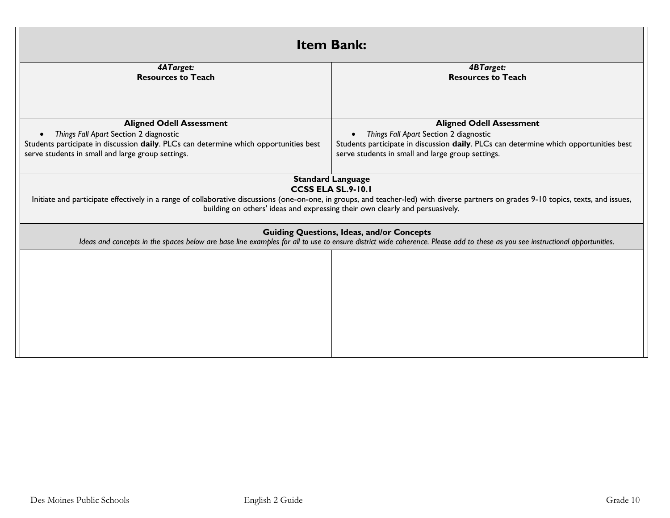| <b>Item Bank:</b>                                                                                                                                                                                                                                                                                                              |                                                                                                                                                                                                                                 |  |  |  |
|--------------------------------------------------------------------------------------------------------------------------------------------------------------------------------------------------------------------------------------------------------------------------------------------------------------------------------|---------------------------------------------------------------------------------------------------------------------------------------------------------------------------------------------------------------------------------|--|--|--|
| 4ATarget:                                                                                                                                                                                                                                                                                                                      | 4BTarget:                                                                                                                                                                                                                       |  |  |  |
| <b>Resources to Teach</b>                                                                                                                                                                                                                                                                                                      | <b>Resources to Teach</b>                                                                                                                                                                                                       |  |  |  |
| <b>Aligned Odell Assessment</b>                                                                                                                                                                                                                                                                                                | <b>Aligned Odell Assessment</b>                                                                                                                                                                                                 |  |  |  |
| Things Fall Apart Section 2 diagnostic                                                                                                                                                                                                                                                                                         | Things Fall Apart Section 2 diagnostic                                                                                                                                                                                          |  |  |  |
| Students participate in discussion daily. PLCs can determine which opportunities best                                                                                                                                                                                                                                          | Students participate in discussion daily. PLCs can determine which opportunities best                                                                                                                                           |  |  |  |
| serve students in small and large group settings.                                                                                                                                                                                                                                                                              | serve students in small and large group settings.                                                                                                                                                                               |  |  |  |
| <b>Standard Language</b><br><b>CCSS ELA SL.9-10.1</b><br>Initiate and participate effectively in a range of collaborative discussions (one-on-one, in groups, and teacher-led) with diverse partners on grades 9-10 topics, texts, and issues,<br>building on others' ideas and expressing their own clearly and persuasively. |                                                                                                                                                                                                                                 |  |  |  |
|                                                                                                                                                                                                                                                                                                                                | <b>Guiding Questions, Ideas, and/or Concepts</b><br>Ideas and concepts in the spaces below are base line examples for all to use to ensure district wide coherence. Please add to these as you see instructional opportunities. |  |  |  |
|                                                                                                                                                                                                                                                                                                                                |                                                                                                                                                                                                                                 |  |  |  |
|                                                                                                                                                                                                                                                                                                                                |                                                                                                                                                                                                                                 |  |  |  |
|                                                                                                                                                                                                                                                                                                                                |                                                                                                                                                                                                                                 |  |  |  |
|                                                                                                                                                                                                                                                                                                                                |                                                                                                                                                                                                                                 |  |  |  |
|                                                                                                                                                                                                                                                                                                                                |                                                                                                                                                                                                                                 |  |  |  |
|                                                                                                                                                                                                                                                                                                                                |                                                                                                                                                                                                                                 |  |  |  |
|                                                                                                                                                                                                                                                                                                                                |                                                                                                                                                                                                                                 |  |  |  |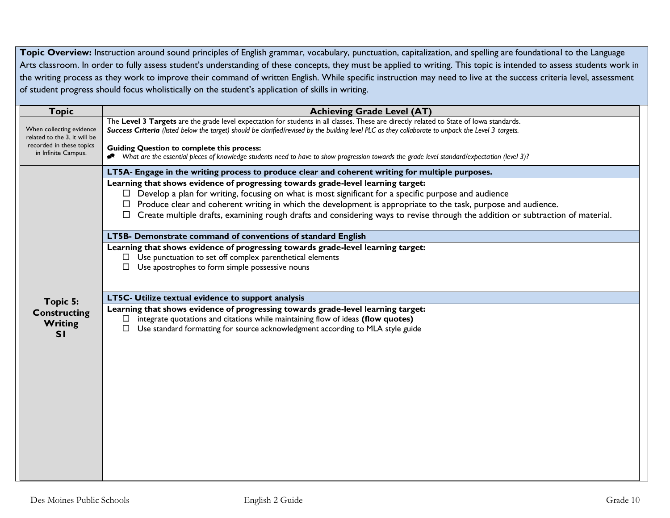Topic Overview: Instruction around sound principles of English grammar, vocabulary, punctuation, capitalization, and spelling are foundational to the Language Arts classroom. In order to fully assess student's understanding of these concepts, they must be applied to writing. This topic is intended to assess students work in the writing process as they work to improve their command of written English. While specific instruction may need to live at the success criteria level, assessment of student progress should focus wholistically on the student's application of skills in writing.

| <b>Topic</b>                                                                                                                                                                                               | <b>Achieving Grade Level (AT)</b>                                                                                                                                                                                                                                                                                                                                                                                                                                |  |  |
|------------------------------------------------------------------------------------------------------------------------------------------------------------------------------------------------------------|------------------------------------------------------------------------------------------------------------------------------------------------------------------------------------------------------------------------------------------------------------------------------------------------------------------------------------------------------------------------------------------------------------------------------------------------------------------|--|--|
| When collecting evidence<br>related to the 3, it will be<br>recorded in these topics                                                                                                                       | The Level 3 Targets are the grade level expectation for students in all classes. These are directly related to State of lowa standards.<br>Success Criteria (listed below the target) should be clarified/revised by the building level PLC as they collaborate to unpack the Level 3 targets.                                                                                                                                                                   |  |  |
| in Infinite Campus.                                                                                                                                                                                        | <b>Guiding Question to complete this process:</b><br>* What are the essential pieces of knowledge students need to have to show progression towards the grade level standard/expectation (level 3)?                                                                                                                                                                                                                                                              |  |  |
|                                                                                                                                                                                                            | LT5A- Engage in the writing process to produce clear and coherent writing for multiple purposes.                                                                                                                                                                                                                                                                                                                                                                 |  |  |
|                                                                                                                                                                                                            | Learning that shows evidence of progressing towards grade-level learning target:<br>$\Box$ Develop a plan for writing, focusing on what is most significant for a specific purpose and audience<br>$\Box$ Produce clear and coherent writing in which the development is appropriate to the task, purpose and audience.<br>$\Box$ Create multiple drafts, examining rough drafts and considering ways to revise through the addition or subtraction of material. |  |  |
|                                                                                                                                                                                                            | LT5B- Demonstrate command of conventions of standard English                                                                                                                                                                                                                                                                                                                                                                                                     |  |  |
| Learning that shows evidence of progressing towards grade-level learning target:<br>Use punctuation to set off complex parenthetical elements<br>Use apostrophes to form simple possessive nouns<br>$\Box$ |                                                                                                                                                                                                                                                                                                                                                                                                                                                                  |  |  |
|                                                                                                                                                                                                            | LT5C- Utilize textual evidence to support analysis                                                                                                                                                                                                                                                                                                                                                                                                               |  |  |
| Topic 5:<br><b>Constructing</b><br>Writing<br>SI                                                                                                                                                           | Learning that shows evidence of progressing towards grade-level learning target:<br>integrate quotations and citations while maintaining flow of ideas (flow quotes)<br>ப<br>Use standard formatting for source acknowledgment according to MLA style guide<br>$\Box$                                                                                                                                                                                            |  |  |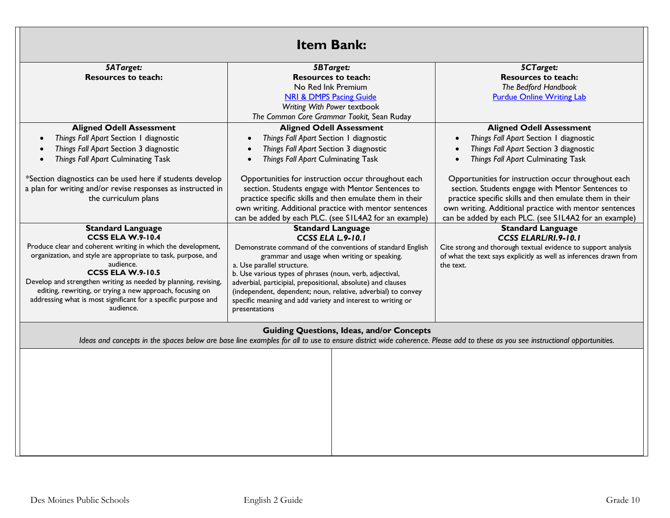| <b>Item Bank:</b>                                                                                                                                                                                                               |                                                                                                                              |                                                                   |  |  |
|---------------------------------------------------------------------------------------------------------------------------------------------------------------------------------------------------------------------------------|------------------------------------------------------------------------------------------------------------------------------|-------------------------------------------------------------------|--|--|
| <b>5ATarget:</b>                                                                                                                                                                                                                | <b>5BTarget:</b>                                                                                                             | <b>5CTarget:</b>                                                  |  |  |
| <b>Resources to teach:</b>                                                                                                                                                                                                      | <b>Resources to teach:</b>                                                                                                   | <b>Resources to teach:</b>                                        |  |  |
|                                                                                                                                                                                                                                 | No Red Ink Premium                                                                                                           | The Bedford Handbook                                              |  |  |
|                                                                                                                                                                                                                                 | <b>NRI &amp; DMPS Pacing Guide</b>                                                                                           | <b>Purdue Online Writing Lab</b>                                  |  |  |
|                                                                                                                                                                                                                                 | Writing With Power textbook                                                                                                  |                                                                   |  |  |
|                                                                                                                                                                                                                                 | The Common Core Grammar Tookit, Sean Ruday                                                                                   |                                                                   |  |  |
| <b>Aligned Odell Assessment</b>                                                                                                                                                                                                 | <b>Aligned Odell Assessment</b>                                                                                              | <b>Aligned Odell Assessment</b>                                   |  |  |
| Things Fall Apart Section 1 diagnostic                                                                                                                                                                                          | Things Fall Apart Section 1 diagnostic                                                                                       | Things Fall Apart Section 1 diagnostic                            |  |  |
| Things Fall Apart Section 3 diagnostic                                                                                                                                                                                          | Things Fall Apart Section 3 diagnostic                                                                                       | Things Fall Apart Section 3 diagnostic                            |  |  |
| Things Fall Apart Culminating Task                                                                                                                                                                                              | Things Fall Apart Culminating Task                                                                                           | Things Fall Apart Culminating Task                                |  |  |
|                                                                                                                                                                                                                                 |                                                                                                                              |                                                                   |  |  |
| *Section diagnostics can be used here if students develop                                                                                                                                                                       | Opportunities for instruction occur throughout each                                                                          | Opportunities for instruction occur throughout each               |  |  |
| a plan for writing and/or revise responses as instructed in                                                                                                                                                                     | section. Students engage with Mentor Sentences to                                                                            | section. Students engage with Mentor Sentences to                 |  |  |
| the curriculum plans                                                                                                                                                                                                            | practice specific skills and then emulate them in their                                                                      | practice specific skills and then emulate them in their           |  |  |
|                                                                                                                                                                                                                                 | own writing. Additional practice with mentor sentences                                                                       | own writing. Additional practice with mentor sentences            |  |  |
|                                                                                                                                                                                                                                 | can be added by each PLC. (see SIL4A2 for an example)                                                                        | can be added by each PLC. (see SIL4A2 for an example)             |  |  |
| <b>Standard Language</b>                                                                                                                                                                                                        | <b>Standard Language</b>                                                                                                     | <b>Standard Language</b>                                          |  |  |
| <b>CCSS ELA W.9-10.4</b>                                                                                                                                                                                                        | <b>CCSS ELA L.9-10.1</b>                                                                                                     | <b>CCSS ELARL/RI.9-10.1</b>                                       |  |  |
| Produce clear and coherent writing in which the development,                                                                                                                                                                    | Demonstrate command of the conventions of standard English                                                                   | Cite strong and thorough textual evidence to support analysis     |  |  |
| organization, and style are appropriate to task, purpose, and                                                                                                                                                                   | grammar and usage when writing or speaking.                                                                                  | of what the text says explicitly as well as inferences drawn from |  |  |
| audience.                                                                                                                                                                                                                       | a. Use parallel structure.                                                                                                   | the text.                                                         |  |  |
| <b>CCSS ELA W.9-10.5</b>                                                                                                                                                                                                        | b. Use various types of phrases (noun, verb, adjectival,                                                                     |                                                                   |  |  |
| Develop and strengthen writing as needed by planning, revising,<br>editing, rewriting, or trying a new approach, focusing on                                                                                                    | adverbial, participial, prepositional, absolute) and clauses                                                                 |                                                                   |  |  |
| addressing what is most significant for a specific purpose and                                                                                                                                                                  | (independent, dependent; noun, relative, adverbial) to convey<br>specific meaning and add variety and interest to writing or |                                                                   |  |  |
| audience.                                                                                                                                                                                                                       | presentations                                                                                                                |                                                                   |  |  |
|                                                                                                                                                                                                                                 |                                                                                                                              |                                                                   |  |  |
| <b>Guiding Questions, Ideas, and/or Concepts</b><br>Ideas and concepts in the spaces below are base line examples for all to use to ensure district wide coherence. Please add to these as you see instructional opportunities. |                                                                                                                              |                                                                   |  |  |
|                                                                                                                                                                                                                                 |                                                                                                                              |                                                                   |  |  |
|                                                                                                                                                                                                                                 |                                                                                                                              |                                                                   |  |  |
|                                                                                                                                                                                                                                 |                                                                                                                              |                                                                   |  |  |
|                                                                                                                                                                                                                                 |                                                                                                                              |                                                                   |  |  |
|                                                                                                                                                                                                                                 |                                                                                                                              |                                                                   |  |  |
|                                                                                                                                                                                                                                 |                                                                                                                              |                                                                   |  |  |
|                                                                                                                                                                                                                                 |                                                                                                                              |                                                                   |  |  |
|                                                                                                                                                                                                                                 |                                                                                                                              |                                                                   |  |  |
|                                                                                                                                                                                                                                 |                                                                                                                              |                                                                   |  |  |
|                                                                                                                                                                                                                                 |                                                                                                                              |                                                                   |  |  |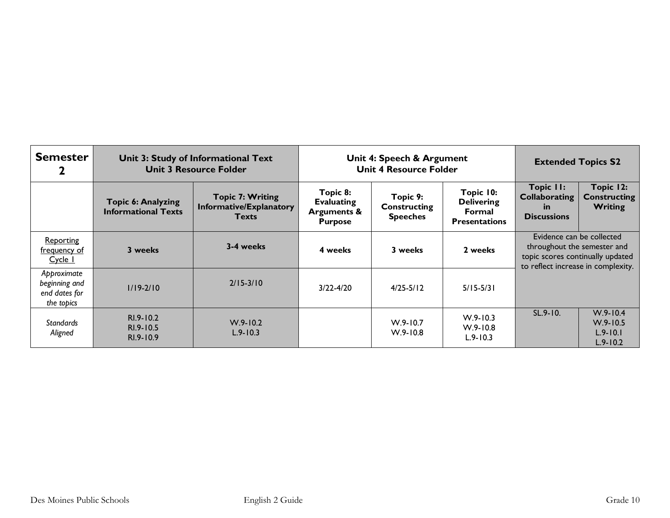| <b>Semester</b>                                             | Unit 3: Study of Informational Text<br><b>Unit 3 Resource Folder</b> |                                                                    | Unit 4: Speech & Argument<br>Unit 4 Resource Folder                       |                                                    |                                                                  | <b>Extended Topics S2</b>                                                                                                          |                                                              |
|-------------------------------------------------------------|----------------------------------------------------------------------|--------------------------------------------------------------------|---------------------------------------------------------------------------|----------------------------------------------------|------------------------------------------------------------------|------------------------------------------------------------------------------------------------------------------------------------|--------------------------------------------------------------|
|                                                             | <b>Topic 6: Analyzing</b><br><b>Informational Texts</b>              | <b>Topic 7: Writing</b><br>Informative/Explanatory<br><b>Texts</b> | Topic 8:<br><b>Evaluating</b><br><b>Arguments &amp;</b><br><b>Purpose</b> | Topic 9:<br><b>Constructing</b><br><b>Speeches</b> | Topic 10:<br><b>Delivering</b><br>Formal<br><b>Presentations</b> | Topic II:<br><b>Collaborating</b><br>in.<br><b>Discussions</b>                                                                     | Topic 12:<br><b>Constructing</b><br><b>Writing</b>           |
| <b>Reporting</b><br>frequency of<br>Cycle 1                 | 3 weeks                                                              | 3-4 weeks                                                          | 4 weeks                                                                   | 3 weeks                                            | 2 weeks                                                          | Evidence can be collected<br>throughout the semester and<br>topic scores continually updated<br>to reflect increase in complexity. |                                                              |
| Approximate<br>beginning and<br>end dates for<br>the topics | $1/19 - 2/10$                                                        | $2/15 - 3/10$                                                      | $3/22 - 4/20$                                                             | $4/25 - 5/12$                                      | $5/15 - 5/31$                                                    |                                                                                                                                    |                                                              |
| <b>Standards</b><br>Aligned                                 | $RI.9 - I.02$<br>$RI.9 - 10.5$<br>$R1.9 - 10.9$                      | $W.9 - 10.2$<br>$L.9 - 10.3$                                       |                                                                           | $W.9 - 10.7$<br>$W.9 - 10.8$                       | $W.9 - 10.3$<br>$W.9 - 10.8$<br>$L.9 - 10.3$                     | $SL.9 - 10.$                                                                                                                       | $W.9 - 10.4$<br>$W.9 - 10.5$<br>$L.9 - 10.1$<br>$L.9 - 10.2$ |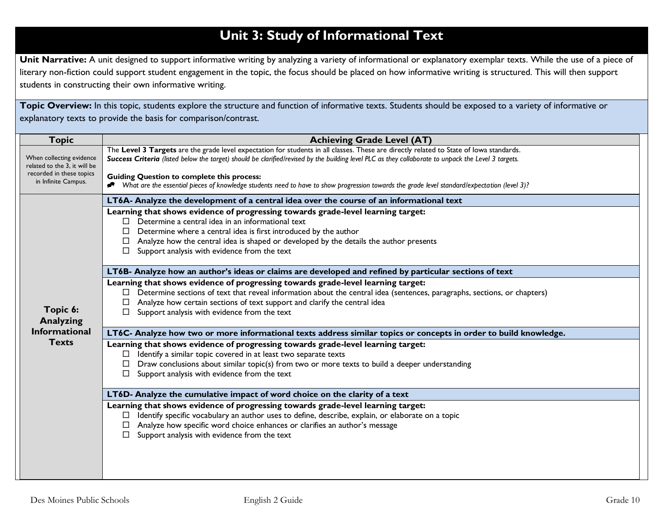## **Unit 3: Study of Informational Text**

Unit Narrative: A unit designed to support informative writing by analyzing a variety of informational or explanatory exemplar texts. While the use of a piece of literary non-fiction could support student engagement in the topic, the focus should be placed on how informative writing is structured. This will then support students in constructing their own informative writing.

Topic Overview: In this topic, students explore the structure and function of informative texts. Students should be exposed to a variety of informative or explanatory texts to provide the basis for comparison/contrast.

| <b>Topic</b>                                             | <b>Achieving Grade Level (AT)</b>                                                                                                                                                                                                                                                              |
|----------------------------------------------------------|------------------------------------------------------------------------------------------------------------------------------------------------------------------------------------------------------------------------------------------------------------------------------------------------|
| When collecting evidence<br>related to the 3, it will be | The Level 3 Targets are the grade level expectation for students in all classes. These are directly related to State of lowa standards.<br>Success Criteria (listed below the target) should be clarified/revised by the building level PLC as they collaborate to unpack the Level 3 targets. |
| recorded in these topics<br>in Infinite Campus.          | <b>Guiding Question to complete this process:</b><br>* What are the essential pieces of knowledge students need to have to show progression towards the grade level standard/expectation (level 3)?                                                                                            |
|                                                          | LT6A- Analyze the development of a central idea over the course of an informational text                                                                                                                                                                                                       |
|                                                          | Learning that shows evidence of progressing towards grade-level learning target:<br>Determine a central idea in an informational text<br>□<br>Determine where a central idea is first introduced by the author<br>□                                                                            |
|                                                          | Analyze how the central idea is shaped or developed by the details the author presents<br>□                                                                                                                                                                                                    |
|                                                          | Support analysis with evidence from the text<br>□                                                                                                                                                                                                                                              |
|                                                          | LT6B- Analyze how an author's ideas or claims are developed and refined by particular sections of text                                                                                                                                                                                         |
|                                                          | Learning that shows evidence of progressing towards grade-level learning target:                                                                                                                                                                                                               |
|                                                          | Determine sections of text that reveal information about the central idea (sentences, paragraphs, sections, or chapters)<br>□                                                                                                                                                                  |
| Topic 6:                                                 | Analyze how certain sections of text support and clarify the central idea<br>□<br>Support analysis with evidence from the text<br>□                                                                                                                                                            |
| <b>Analyzing</b>                                         |                                                                                                                                                                                                                                                                                                |
| <b>Informational</b>                                     | LT6C- Analyze how two or more informational texts address similar topics or concepts in order to build knowledge.                                                                                                                                                                              |
| <b>Texts</b>                                             | Learning that shows evidence of progressing towards grade-level learning target:                                                                                                                                                                                                               |
|                                                          | Identify a similar topic covered in at least two separate texts<br>□                                                                                                                                                                                                                           |
|                                                          | Draw conclusions about similar topic(s) from two or more texts to build a deeper understanding<br>□                                                                                                                                                                                            |
|                                                          | Support analysis with evidence from the text<br>□                                                                                                                                                                                                                                              |
|                                                          | LT6D- Analyze the cumulative impact of word choice on the clarity of a text                                                                                                                                                                                                                    |
|                                                          | Learning that shows evidence of progressing towards grade-level learning target:                                                                                                                                                                                                               |
|                                                          | Identify specific vocabulary an author uses to define, describe, explain, or elaborate on a topic<br>□                                                                                                                                                                                         |
|                                                          | Analyze how specific word choice enhances or clarifies an author's message<br>$\Box$                                                                                                                                                                                                           |
|                                                          | Support analysis with evidence from the text<br>□                                                                                                                                                                                                                                              |
|                                                          |                                                                                                                                                                                                                                                                                                |
|                                                          |                                                                                                                                                                                                                                                                                                |
|                                                          |                                                                                                                                                                                                                                                                                                |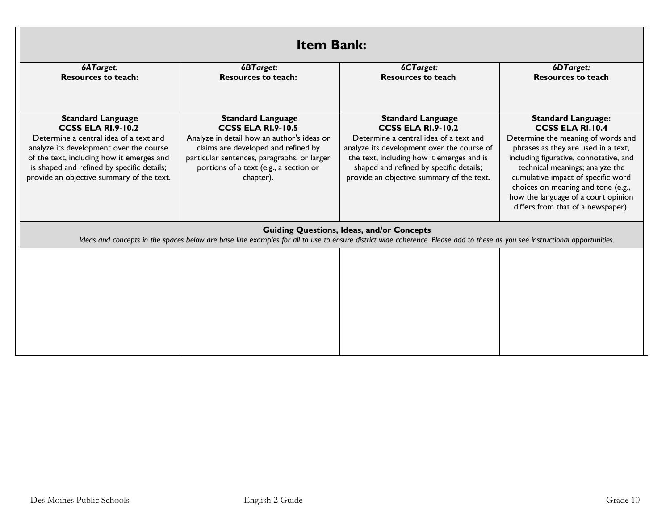| <b>Item Bank:</b>                                                                                                                                                                                                         |                                                                                                                                                                                                                                 |                                                                                                                                                                                                                           |                                                                                                                                                                                                                                                                                                                 |  |
|---------------------------------------------------------------------------------------------------------------------------------------------------------------------------------------------------------------------------|---------------------------------------------------------------------------------------------------------------------------------------------------------------------------------------------------------------------------------|---------------------------------------------------------------------------------------------------------------------------------------------------------------------------------------------------------------------------|-----------------------------------------------------------------------------------------------------------------------------------------------------------------------------------------------------------------------------------------------------------------------------------------------------------------|--|
| 6DTarget:<br>6ATarget:<br>6BTarget:<br>6CTarget:                                                                                                                                                                          |                                                                                                                                                                                                                                 |                                                                                                                                                                                                                           |                                                                                                                                                                                                                                                                                                                 |  |
| <b>Resources to teach:</b>                                                                                                                                                                                                | <b>Resources to teach:</b>                                                                                                                                                                                                      | <b>Resources to teach</b>                                                                                                                                                                                                 | <b>Resources to teach</b>                                                                                                                                                                                                                                                                                       |  |
| <b>Standard Language</b><br><b>CCSS ELA RI.9-10.2</b>                                                                                                                                                                     | <b>Standard Language</b><br><b>CCSS ELA RI.9-10.5</b>                                                                                                                                                                           | <b>Standard Language</b><br><b>CCSS ELA RI.9-10.2</b>                                                                                                                                                                     | <b>Standard Language:</b><br><b>CCSS ELA RI.10.4</b>                                                                                                                                                                                                                                                            |  |
| Determine a central idea of a text and<br>analyze its development over the course<br>of the text, including how it emerges and<br>is shaped and refined by specific details;<br>provide an objective summary of the text. | Analyze in detail how an author's ideas or<br>claims are developed and refined by<br>particular sentences, paragraphs, or larger<br>portions of a text (e.g., a section or<br>chapter).                                         | Determine a central idea of a text and<br>analyze its development over the course of<br>the text, including how it emerges and is<br>shaped and refined by specific details;<br>provide an objective summary of the text. | Determine the meaning of words and<br>phrases as they are used in a text,<br>including figurative, connotative, and<br>technical meanings; analyze the<br>cumulative impact of specific word<br>choices on meaning and tone (e.g.,<br>how the language of a court opinion<br>differs from that of a newspaper). |  |
|                                                                                                                                                                                                                           | <b>Guiding Questions, Ideas, and/or Concepts</b><br>Ideas and concepts in the spaces below are base line examples for all to use to ensure district wide coherence. Please add to these as you see instructional opportunities. |                                                                                                                                                                                                                           |                                                                                                                                                                                                                                                                                                                 |  |
|                                                                                                                                                                                                                           |                                                                                                                                                                                                                                 |                                                                                                                                                                                                                           |                                                                                                                                                                                                                                                                                                                 |  |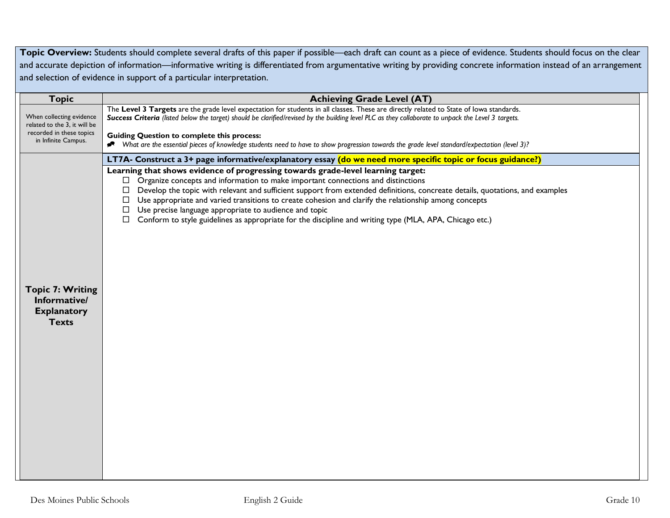Topic Overview: Students should complete several drafts of this paper if possible—each draft can count as a piece of evidence. Students should focus on the clear and accurate depiction of information—informative writing is differentiated from argumentative writing by providing concrete information instead of an arrangement and selection of evidence in support of a particular interpretation.

| <b>Topic</b>                                                                         | <b>Achieving Grade Level (AT)</b>                                                                                                                                                                                                                                                                                                                   |
|--------------------------------------------------------------------------------------|-----------------------------------------------------------------------------------------------------------------------------------------------------------------------------------------------------------------------------------------------------------------------------------------------------------------------------------------------------|
| When collecting evidence<br>related to the 3, it will be<br>recorded in these topics | The Level 3 Targets are the grade level expectation for students in all classes. These are directly related to State of lowa standards.<br>Success Criteria (listed below the target) should be clarified/revised by the building level PLC as they collaborate to unpack the Level 3 targets.<br><b>Guiding Question to complete this process:</b> |
| in Infinite Campus.                                                                  | What are the essential pieces of knowledge students need to have to show progression towards the grade level standard/expectation (level 3)?<br>R                                                                                                                                                                                                   |
|                                                                                      | LT7A- Construct a 3+ page informative/explanatory essay (do we need more specific topic or focus guidance?)                                                                                                                                                                                                                                         |
|                                                                                      | Learning that shows evidence of progressing towards grade-level learning target:<br>$\Box$ Organize concepts and information to make important connections and distinctions                                                                                                                                                                         |
|                                                                                      | Develop the topic with relevant and sufficient support from extended definitions, concreate details, quotations, and examples<br>$\Box$                                                                                                                                                                                                             |
|                                                                                      | Use appropriate and varied transitions to create cohesion and clarify the relationship among concepts<br>$\Box$                                                                                                                                                                                                                                     |
|                                                                                      | Use precise language appropriate to audience and topic<br>$\Box$<br>Conform to style guidelines as appropriate for the discipline and writing type (MLA, APA, Chicago etc.)<br>$\Box$                                                                                                                                                               |
|                                                                                      |                                                                                                                                                                                                                                                                                                                                                     |
|                                                                                      |                                                                                                                                                                                                                                                                                                                                                     |
|                                                                                      |                                                                                                                                                                                                                                                                                                                                                     |
|                                                                                      |                                                                                                                                                                                                                                                                                                                                                     |
| <b>Topic 7: Writing</b>                                                              |                                                                                                                                                                                                                                                                                                                                                     |
| Informative/                                                                         |                                                                                                                                                                                                                                                                                                                                                     |
| <b>Explanatory</b>                                                                   |                                                                                                                                                                                                                                                                                                                                                     |
| <b>Texts</b>                                                                         |                                                                                                                                                                                                                                                                                                                                                     |
|                                                                                      |                                                                                                                                                                                                                                                                                                                                                     |
|                                                                                      |                                                                                                                                                                                                                                                                                                                                                     |
|                                                                                      |                                                                                                                                                                                                                                                                                                                                                     |
|                                                                                      |                                                                                                                                                                                                                                                                                                                                                     |
|                                                                                      |                                                                                                                                                                                                                                                                                                                                                     |
|                                                                                      |                                                                                                                                                                                                                                                                                                                                                     |
|                                                                                      |                                                                                                                                                                                                                                                                                                                                                     |
|                                                                                      |                                                                                                                                                                                                                                                                                                                                                     |
|                                                                                      |                                                                                                                                                                                                                                                                                                                                                     |
|                                                                                      |                                                                                                                                                                                                                                                                                                                                                     |
|                                                                                      |                                                                                                                                                                                                                                                                                                                                                     |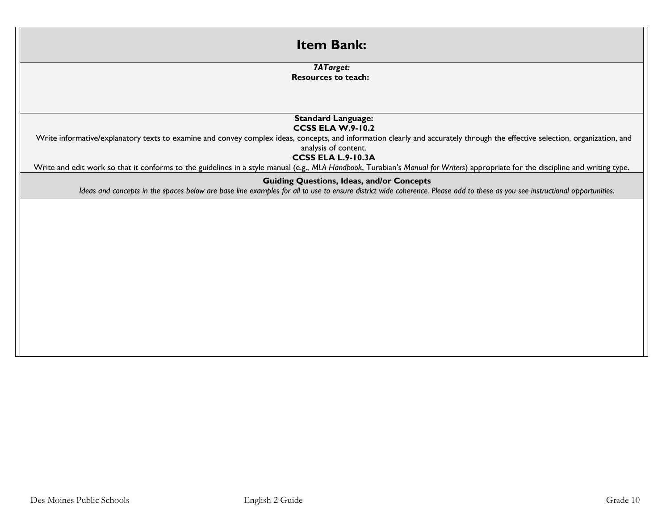| <b>Item Bank:</b>                                                                                                                                                                |
|----------------------------------------------------------------------------------------------------------------------------------------------------------------------------------|
| 7ATarget:<br><b>Resources to teach:</b>                                                                                                                                          |
|                                                                                                                                                                                  |
|                                                                                                                                                                                  |
| <b>Standard Language:</b><br><b>CCSS ELA W.9-10.2</b>                                                                                                                            |
| Write informative/explanatory texts to examine and convey complex ideas, concepts, and information clearly and accurately through the effective selection, organization, and     |
| analysis of content.<br><b>CCSS ELA L.9-10.3A</b>                                                                                                                                |
| Write and edit work so that it conforms to the guidelines in a style manual (e.g., MLA Handbook, Turabian's Manual for Writers) appropriate for the discipline and writing type. |
| <b>Guiding Questions, Ideas, and/or Concepts</b>                                                                                                                                 |
| Ideas and concepts in the spaces below are base line examples for all to use to ensure district wide coherence. Please add to these as you see instructional opportunities.      |
|                                                                                                                                                                                  |
|                                                                                                                                                                                  |
|                                                                                                                                                                                  |
|                                                                                                                                                                                  |
|                                                                                                                                                                                  |
|                                                                                                                                                                                  |
|                                                                                                                                                                                  |
|                                                                                                                                                                                  |
|                                                                                                                                                                                  |
|                                                                                                                                                                                  |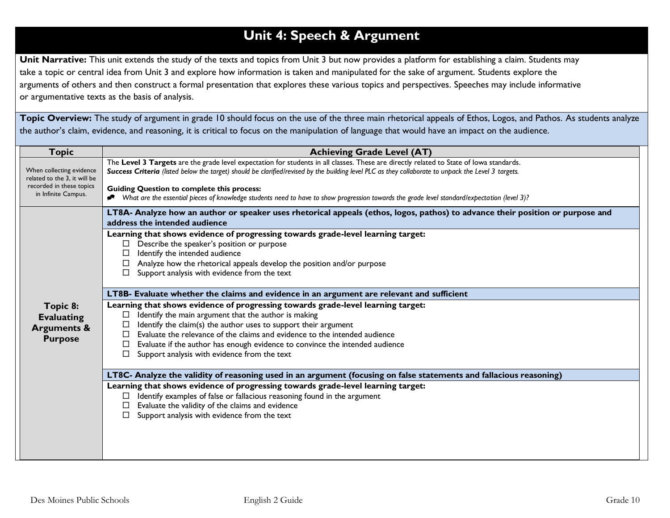## **Unit 4: Speech & Argument**

**Unit Narrative:** This unit extends the study of the texts and topics from Unit 3 but now provides a platform for establishing a claim. Students may take a topic or central idea from Unit 3 and explore how information is taken and manipulated for the sake of argument. Students explore the arguments of others and then construct a formal presentation that explores these various topics and perspectives. Speeches may include informative or argumentative texts as the basis of analysis.

Topic Overview: The study of argument in grade 10 should focus on the use of the three main rhetorical appeals of Ethos, Logos, and Pathos. As students analyze the author's claim, evidence, and reasoning, it is critical to focus on the manipulation of language that would have an impact on the audience.

| <b>Topic</b>                                                                         | <b>Achieving Grade Level (AT)</b>                                                                                                                                                                                                                                                                                                                   |
|--------------------------------------------------------------------------------------|-----------------------------------------------------------------------------------------------------------------------------------------------------------------------------------------------------------------------------------------------------------------------------------------------------------------------------------------------------|
| When collecting evidence<br>related to the 3, it will be<br>recorded in these topics | The Level 3 Targets are the grade level expectation for students in all classes. These are directly related to State of lowa standards.<br>Success Criteria (listed below the target) should be clarified/revised by the building level PLC as they collaborate to unpack the Level 3 targets.<br><b>Guiding Question to complete this process:</b> |
| in Infinite Campus.                                                                  | Nhat are the essential pieces of knowledge students need to have to show progression towards the grade level standard/expectation (level 3)?                                                                                                                                                                                                        |
|                                                                                      | LT8A- Analyze how an author or speaker uses rhetorical appeals (ethos, logos, pathos) to advance their position or purpose and<br>address the intended audience                                                                                                                                                                                     |
|                                                                                      | Learning that shows evidence of progressing towards grade-level learning target:<br>Describe the speaker's position or purpose<br>Identify the intended audience<br>Analyze how the rhetorical appeals develop the position and/or purpose<br>Support analysis with evidence from the text<br>□                                                     |
| Topic 8:                                                                             | LT8B- Evaluate whether the claims and evidence in an argument are relevant and sufficient<br>Learning that shows evidence of progressing towards grade-level learning target:                                                                                                                                                                       |
| <b>Evaluating</b>                                                                    | Identify the main argument that the author is making<br>□                                                                                                                                                                                                                                                                                           |
| <b>Arguments &amp;</b>                                                               | Identify the claim(s) the author uses to support their argument<br>□<br>Evaluate the relevance of the claims and evidence to the intended audience                                                                                                                                                                                                  |
| <b>Purpose</b>                                                                       | Evaluate if the author has enough evidence to convince the intended audience<br>ப                                                                                                                                                                                                                                                                   |
|                                                                                      | Support analysis with evidence from the text                                                                                                                                                                                                                                                                                                        |
|                                                                                      | LT8C- Analyze the validity of reasoning used in an argument (focusing on false statements and fallacious reasoning)                                                                                                                                                                                                                                 |
|                                                                                      | Learning that shows evidence of progressing towards grade-level learning target:                                                                                                                                                                                                                                                                    |
|                                                                                      | Identify examples of false or fallacious reasoning found in the argument<br>□<br>Evaluate the validity of the claims and evidence                                                                                                                                                                                                                   |
|                                                                                      | Support analysis with evidence from the text<br>$\Box$                                                                                                                                                                                                                                                                                              |
|                                                                                      |                                                                                                                                                                                                                                                                                                                                                     |
|                                                                                      |                                                                                                                                                                                                                                                                                                                                                     |
|                                                                                      |                                                                                                                                                                                                                                                                                                                                                     |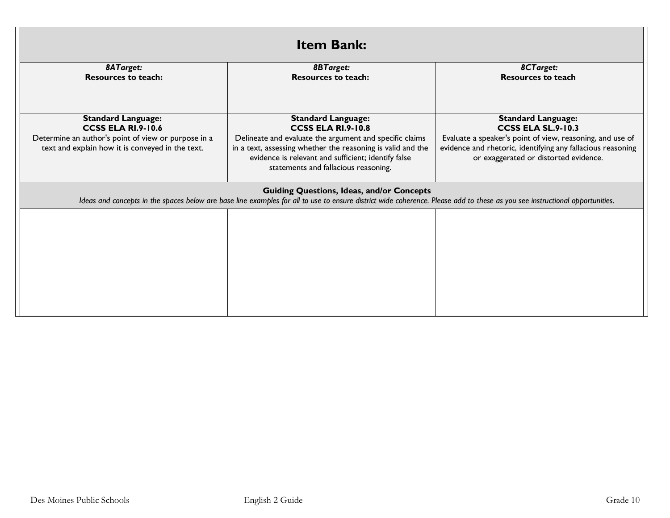| <b>Item Bank:</b>                                                                                       |                                                                                                                                                                                                                                 |                                                                                                                                                                   |  |
|---------------------------------------------------------------------------------------------------------|---------------------------------------------------------------------------------------------------------------------------------------------------------------------------------------------------------------------------------|-------------------------------------------------------------------------------------------------------------------------------------------------------------------|--|
| 8ATarget:<br><b>Resources to teach:</b>                                                                 | <b>8BTarget:</b><br><b>Resources to teach:</b>                                                                                                                                                                                  | 8CTarget:<br><b>Resources to teach</b>                                                                                                                            |  |
|                                                                                                         |                                                                                                                                                                                                                                 |                                                                                                                                                                   |  |
| <b>Standard Language:</b><br><b>CCSS ELA RI.9-10.6</b>                                                  | <b>Standard Language:</b><br><b>CCSS ELA RI.9-10.8</b>                                                                                                                                                                          | <b>Standard Language:</b><br><b>CCSS ELA SL.9-10.3</b>                                                                                                            |  |
| Determine an author's point of view or purpose in a<br>text and explain how it is conveyed in the text. | Delineate and evaluate the argument and specific claims<br>in a text, assessing whether the reasoning is valid and the<br>evidence is relevant and sufficient; identify false<br>statements and fallacious reasoning.           | Evaluate a speaker's point of view, reasoning, and use of<br>evidence and rhetoric, identifying any fallacious reasoning<br>or exaggerated or distorted evidence. |  |
|                                                                                                         | <b>Guiding Questions, Ideas, and/or Concepts</b><br>Ideas and concepts in the spaces below are base line examples for all to use to ensure district wide coherence. Please add to these as you see instructional opportunities. |                                                                                                                                                                   |  |
|                                                                                                         |                                                                                                                                                                                                                                 |                                                                                                                                                                   |  |
|                                                                                                         |                                                                                                                                                                                                                                 |                                                                                                                                                                   |  |
|                                                                                                         |                                                                                                                                                                                                                                 |                                                                                                                                                                   |  |
|                                                                                                         |                                                                                                                                                                                                                                 |                                                                                                                                                                   |  |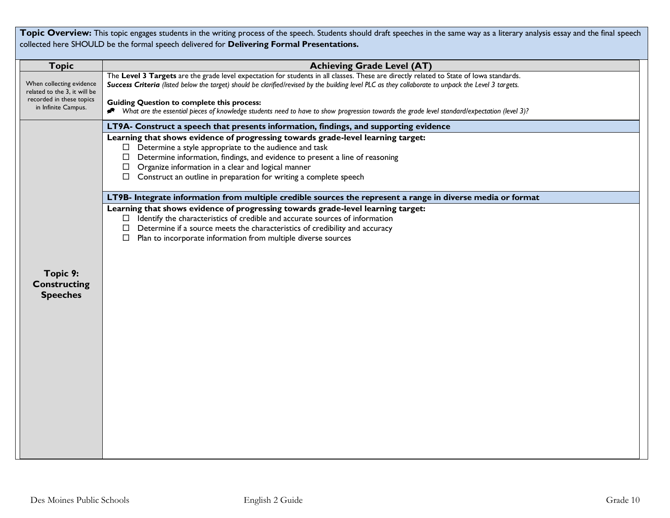|                                                                                                                             | Topic Overview: This topic engages students in the writing process of the speech. Students should draft speeches in the same way as a literary analysis essay and the final speech<br>collected here SHOULD be the formal speech delivered for Delivering Formal Presentations.                                                                                                                                                                                                                                                          |
|-----------------------------------------------------------------------------------------------------------------------------|------------------------------------------------------------------------------------------------------------------------------------------------------------------------------------------------------------------------------------------------------------------------------------------------------------------------------------------------------------------------------------------------------------------------------------------------------------------------------------------------------------------------------------------|
|                                                                                                                             |                                                                                                                                                                                                                                                                                                                                                                                                                                                                                                                                          |
| <b>Topic</b><br>When collecting evidence<br>related to the 3, it will be<br>recorded in these topics<br>in Infinite Campus. | <b>Achieving Grade Level (AT)</b><br>The Level 3 Targets are the grade level expectation for students in all classes. These are directly related to State of lowa standards.<br>Success Criteria (listed below the target) should be clarified/revised by the building level PLC as they collaborate to unpack the Level 3 targets.<br><b>Guiding Question to complete this process:</b><br>What are the essential pieces of knowledge students need to have to show progression towards the grade level standard/expectation (level 3)? |
|                                                                                                                             | LT9A- Construct a speech that presents information, findings, and supporting evidence                                                                                                                                                                                                                                                                                                                                                                                                                                                    |
|                                                                                                                             | Learning that shows evidence of progressing towards grade-level learning target:<br>Determine a style appropriate to the audience and task<br>Determine information, findings, and evidence to present a line of reasoning<br>$\Box$<br>Organize information in a clear and logical manner<br>$\Box$ Construct an outline in preparation for writing a complete speech                                                                                                                                                                   |
|                                                                                                                             | LT9B- Integrate information from multiple credible sources the represent a range in diverse media or format                                                                                                                                                                                                                                                                                                                                                                                                                              |
| Topic 9:<br><b>Constructing</b><br><b>Speeches</b>                                                                          | Learning that shows evidence of progressing towards grade-level learning target:<br>Identify the characteristics of credible and accurate sources of information<br>Determine if a source meets the characteristics of credibility and accuracy<br>$\Box$<br>$\Box$<br>Plan to incorporate information from multiple diverse sources                                                                                                                                                                                                     |
|                                                                                                                             |                                                                                                                                                                                                                                                                                                                                                                                                                                                                                                                                          |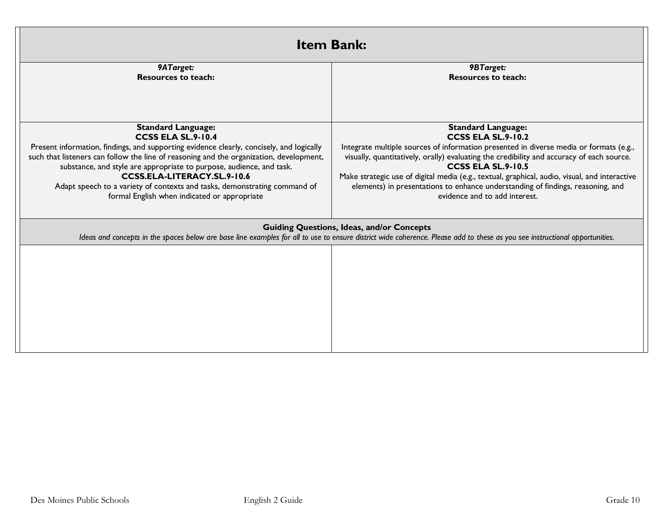| <b>Item Bank:</b>                                                                                                                                                                                                                                                                                                                                                                                                                                                                 |                                                                                                                                                                                                                                                                                                                                                                                                                                                                                                 |  |  |
|-----------------------------------------------------------------------------------------------------------------------------------------------------------------------------------------------------------------------------------------------------------------------------------------------------------------------------------------------------------------------------------------------------------------------------------------------------------------------------------|-------------------------------------------------------------------------------------------------------------------------------------------------------------------------------------------------------------------------------------------------------------------------------------------------------------------------------------------------------------------------------------------------------------------------------------------------------------------------------------------------|--|--|
| 9ATarget:<br><b>Resources to teach:</b>                                                                                                                                                                                                                                                                                                                                                                                                                                           | <b>9BTarget:</b><br><b>Resources to teach:</b>                                                                                                                                                                                                                                                                                                                                                                                                                                                  |  |  |
| <b>Standard Language:</b><br><b>CCSS ELA SL.9-10.4</b><br>Present information, findings, and supporting evidence clearly, concisely, and logically<br>such that listeners can follow the line of reasoning and the organization, development,<br>substance, and style are appropriate to purpose, audience, and task.<br>CCSS.ELA-LITERACY.SL.9-10.6<br>Adapt speech to a variety of contexts and tasks, demonstrating command of<br>formal English when indicated or appropriate | <b>Standard Language:</b><br><b>CCSS ELA SL.9-10.2</b><br>Integrate multiple sources of information presented in diverse media or formats (e.g.,<br>visually, quantitatively, orally) evaluating the credibility and accuracy of each source.<br><b>CCSS ELA SL.9-10.5</b><br>Make strategic use of digital media (e.g., textual, graphical, audio, visual, and interactive<br>elements) in presentations to enhance understanding of findings, reasoning, and<br>evidence and to add interest. |  |  |
|                                                                                                                                                                                                                                                                                                                                                                                                                                                                                   | <b>Guiding Questions, Ideas, and/or Concepts</b><br>Ideas and concepts in the spaces below are base line examples for all to use to ensure district wide coherence. Please add to these as you see instructional opportunities.                                                                                                                                                                                                                                                                 |  |  |
|                                                                                                                                                                                                                                                                                                                                                                                                                                                                                   |                                                                                                                                                                                                                                                                                                                                                                                                                                                                                                 |  |  |
|                                                                                                                                                                                                                                                                                                                                                                                                                                                                                   |                                                                                                                                                                                                                                                                                                                                                                                                                                                                                                 |  |  |
|                                                                                                                                                                                                                                                                                                                                                                                                                                                                                   |                                                                                                                                                                                                                                                                                                                                                                                                                                                                                                 |  |  |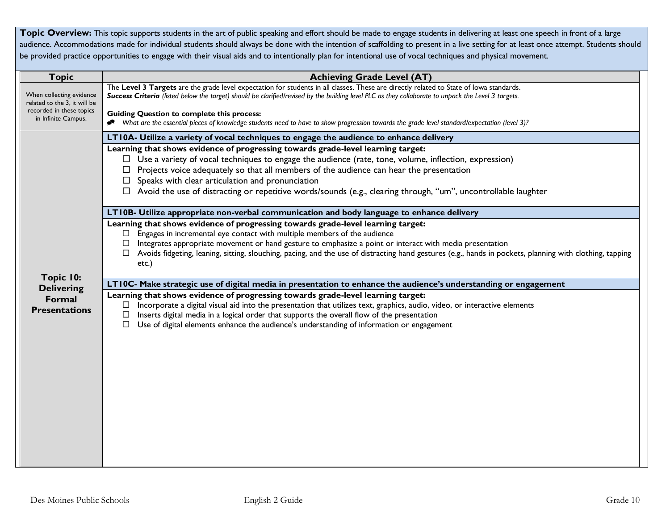| Topic Overview: This topic supports students in the art of public speaking and effort should be made to engage students in delivering at least one speech in front of a large<br>audience. Accommodations made for individual students should always be done with the intention of scaffolding to present in a live setting for at least once attempt. Students should<br>be provided practice opportunities to engage with their visual aids and to intentionally plan for intentional use of vocal techniques and physical movement. |                                                                                                                                                                                                                                                                                                                                                                                                                                                                                                     |  |
|----------------------------------------------------------------------------------------------------------------------------------------------------------------------------------------------------------------------------------------------------------------------------------------------------------------------------------------------------------------------------------------------------------------------------------------------------------------------------------------------------------------------------------------|-----------------------------------------------------------------------------------------------------------------------------------------------------------------------------------------------------------------------------------------------------------------------------------------------------------------------------------------------------------------------------------------------------------------------------------------------------------------------------------------------------|--|
| <b>Topic</b>                                                                                                                                                                                                                                                                                                                                                                                                                                                                                                                           | <b>Achieving Grade Level (AT)</b>                                                                                                                                                                                                                                                                                                                                                                                                                                                                   |  |
| When collecting evidence<br>related to the 3, it will be<br>recorded in these topics<br>in Infinite Campus.                                                                                                                                                                                                                                                                                                                                                                                                                            | The Level 3 Targets are the grade level expectation for students in all classes. These are directly related to State of lowa standards.<br>Success Criteria (listed below the target) should be clarified/revised by the building level PLC as they collaborate to unpack the Level 3 targets.<br><b>Guiding Question to complete this process:</b><br>Nhat are the essential pieces of knowledge students need to have to show progression towards the grade level standard/expectation (level 3)? |  |
|                                                                                                                                                                                                                                                                                                                                                                                                                                                                                                                                        | LT10A- Utilize a variety of vocal techniques to engage the audience to enhance delivery                                                                                                                                                                                                                                                                                                                                                                                                             |  |
|                                                                                                                                                                                                                                                                                                                                                                                                                                                                                                                                        | Learning that shows evidence of progressing towards grade-level learning target:<br>$\Box$ Use a variety of vocal techniques to engage the audience (rate, tone, volume, inflection, expression)<br>$\Box$ Projects voice adequately so that all members of the audience can hear the presentation<br>$\Box$ Speaks with clear articulation and pronunciation<br>$\Box$ Avoid the use of distracting or repetitive words/sounds (e.g., clearing through, "um", uncontrollable laughter              |  |
|                                                                                                                                                                                                                                                                                                                                                                                                                                                                                                                                        | LT10B- Utilize appropriate non-verbal communication and body language to enhance delivery                                                                                                                                                                                                                                                                                                                                                                                                           |  |
|                                                                                                                                                                                                                                                                                                                                                                                                                                                                                                                                        | Learning that shows evidence of progressing towards grade-level learning target:<br>Engages in incremental eye contact with multiple members of the audience<br>$\Box$<br>Integrates appropriate movement or hand gesture to emphasize a point or interact with media presentation<br>$\Box$<br>Avoids fidgeting, leaning, sitting, slouching, pacing, and the use of distracting hand gestures (e.g., hands in pockets, planning with clothing, tapping<br>$\Box$<br>etc.)                         |  |
| Topic 10:                                                                                                                                                                                                                                                                                                                                                                                                                                                                                                                              | LTI0C- Make strategic use of digital media in presentation to enhance the audience's understanding or engagement                                                                                                                                                                                                                                                                                                                                                                                    |  |
| <b>Delivering</b><br>Formal<br><b>Presentations</b>                                                                                                                                                                                                                                                                                                                                                                                                                                                                                    | Learning that shows evidence of progressing towards grade-level learning target:<br>Incorporate a digital visual aid into the presentation that utilizes text, graphics, audio, video, or interactive elements<br>$\Box$<br>Inserts digital media in a logical order that supports the overall flow of the presentation<br>□<br>Use of digital elements enhance the audience's understanding of information or engagement<br>$\Box$                                                                 |  |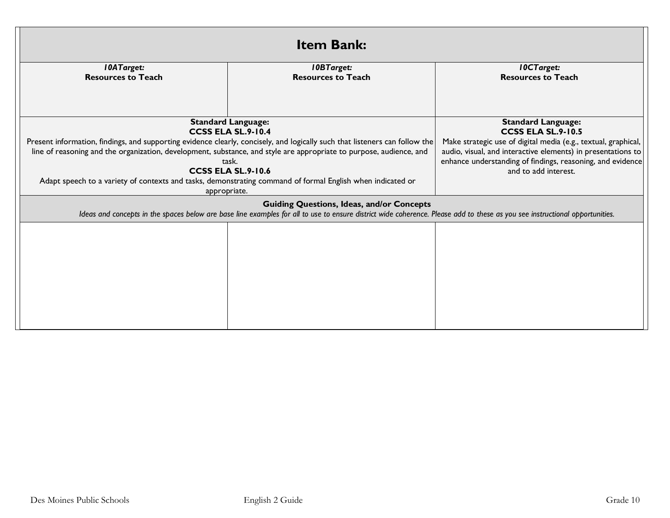| <b>Item Bank:</b>                                                                                                                                                                                                               |                                                                                                                             |                                                                |  |  |
|---------------------------------------------------------------------------------------------------------------------------------------------------------------------------------------------------------------------------------|-----------------------------------------------------------------------------------------------------------------------------|----------------------------------------------------------------|--|--|
| <b>I0ATarget:</b>                                                                                                                                                                                                               | <b>IOBTarget:</b>                                                                                                           | <b>10CTarget:</b>                                              |  |  |
| <b>Resources to Teach</b>                                                                                                                                                                                                       | <b>Resources to Teach</b>                                                                                                   | <b>Resources to Teach</b>                                      |  |  |
|                                                                                                                                                                                                                                 |                                                                                                                             |                                                                |  |  |
|                                                                                                                                                                                                                                 | <b>Standard Language:</b><br>CCSS ELA SL.9-10.4                                                                             | <b>Standard Language:</b><br><b>CCSS ELA SL.9-10.5</b>         |  |  |
|                                                                                                                                                                                                                                 | Present information, findings, and supporting evidence clearly, concisely, and logically such that listeners can follow the | Make strategic use of digital media (e.g., textual, graphical, |  |  |
|                                                                                                                                                                                                                                 | line of reasoning and the organization, development, substance, and style are appropriate to purpose, audience, and         | audio, visual, and interactive elements) in presentations to   |  |  |
|                                                                                                                                                                                                                                 | task.                                                                                                                       | enhance understanding of findings, reasoning, and evidence     |  |  |
|                                                                                                                                                                                                                                 | CCSS ELA SL.9-10.6                                                                                                          | and to add interest.                                           |  |  |
| Adapt speech to a variety of contexts and tasks, demonstrating command of formal English when indicated or                                                                                                                      |                                                                                                                             |                                                                |  |  |
| appropriate.                                                                                                                                                                                                                    |                                                                                                                             |                                                                |  |  |
| <b>Guiding Questions, Ideas, and/or Concepts</b><br>Ideas and concepts in the spaces below are base line examples for all to use to ensure district wide coherence. Please add to these as you see instructional opportunities. |                                                                                                                             |                                                                |  |  |
|                                                                                                                                                                                                                                 |                                                                                                                             |                                                                |  |  |
|                                                                                                                                                                                                                                 |                                                                                                                             |                                                                |  |  |
|                                                                                                                                                                                                                                 |                                                                                                                             |                                                                |  |  |
|                                                                                                                                                                                                                                 |                                                                                                                             |                                                                |  |  |
|                                                                                                                                                                                                                                 |                                                                                                                             |                                                                |  |  |
|                                                                                                                                                                                                                                 |                                                                                                                             |                                                                |  |  |
|                                                                                                                                                                                                                                 |                                                                                                                             |                                                                |  |  |
|                                                                                                                                                                                                                                 |                                                                                                                             |                                                                |  |  |
|                                                                                                                                                                                                                                 |                                                                                                                             |                                                                |  |  |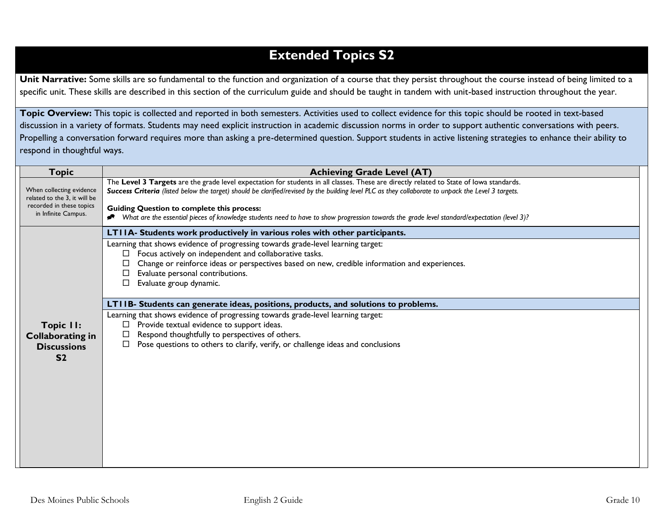### **Extended Topics S2**

Unit Narrative: Some skills are so fundamental to the function and organization of a course that they persist throughout the course instead of being limited to a specific unit. These skills are described in this section of the curriculum guide and should be taught in tandem with unit-based instruction throughout the year.

**Topic Overview:** This topic is collected and reported in both semesters. Activities used to collect evidence for this topic should be rooted in text-based discussion in a variety of formats. Students may need explicit instruction in academic discussion norms in order to support authentic conversations with peers. Propelling a conversation forward requires more than asking a pre-determined question. Support students in active listening strategies to enhance their ability to respond in thoughtful ways.

| <b>Topic</b>                                                                                                | <b>Achieving Grade Level (AT)</b>                                                                                                                                                                                                                                                                                                                                                                                                                                                                   |
|-------------------------------------------------------------------------------------------------------------|-----------------------------------------------------------------------------------------------------------------------------------------------------------------------------------------------------------------------------------------------------------------------------------------------------------------------------------------------------------------------------------------------------------------------------------------------------------------------------------------------------|
| When collecting evidence<br>related to the 3, it will be<br>recorded in these topics<br>in Infinite Campus. | The Level 3 Targets are the grade level expectation for students in all classes. These are directly related to State of lowa standards.<br>Success Criteria (listed below the target) should be clarified/revised by the building level PLC as they collaborate to unpack the Level 3 targets.<br><b>Guiding Question to complete this process:</b><br>Nhat are the essential pieces of knowledge students need to have to show progression towards the grade level standard/expectation (level 3)? |
|                                                                                                             | LTIIA- Students work productively in various roles with other participants.                                                                                                                                                                                                                                                                                                                                                                                                                         |
|                                                                                                             | Learning that shows evidence of progressing towards grade-level learning target:<br>Focus actively on independent and collaborative tasks.<br>Change or reinforce ideas or perspectives based on new, credible information and experiences.<br>Evaluate personal contributions.<br>Evaluate group dynamic.                                                                                                                                                                                          |
|                                                                                                             | LTIIB- Students can generate ideas, positions, products, and solutions to problems.                                                                                                                                                                                                                                                                                                                                                                                                                 |
| Topic II:<br><b>Collaborating in</b><br><b>Discussions</b><br>S <sub>2</sub>                                | Learning that shows evidence of progressing towards grade-level learning target:<br>$\Box$ Provide textual evidence to support ideas.<br>Respond thoughtfully to perspectives of others.<br>$\Box$<br>Pose questions to others to clarify, verify, or challenge ideas and conclusions                                                                                                                                                                                                               |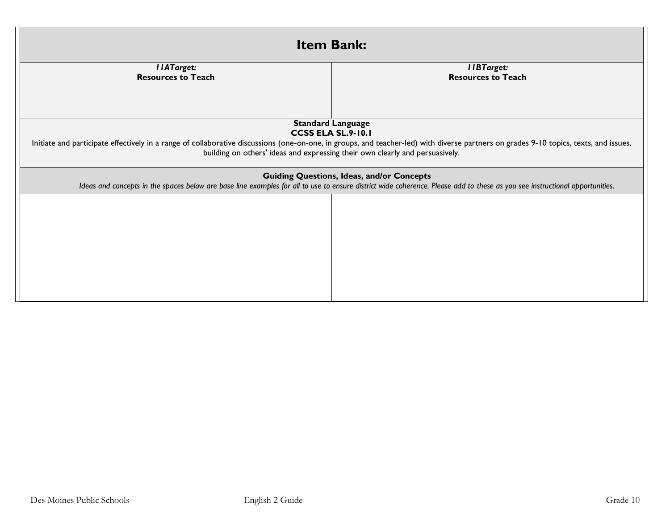| <b>Item Bank:</b>                                                                                                                                                                                                                                                                                  |                                                |  |  |  |
|----------------------------------------------------------------------------------------------------------------------------------------------------------------------------------------------------------------------------------------------------------------------------------------------------|------------------------------------------------|--|--|--|
| <b>IIATarget:</b><br><b>Resources to Teach</b>                                                                                                                                                                                                                                                     | <b>IIBTarget:</b><br><b>Resources to Teach</b> |  |  |  |
| <b>Standard Language</b>                                                                                                                                                                                                                                                                           |                                                |  |  |  |
| <b>CCSS ELA SL.9-10.1</b><br>Initiate and participate effectively in a range of collaborative discussions (one-on-one, in groups, and teacher-led) with diverse partners on grades 9-10 topics, texts, and issues,<br>building on others' ideas and expressing their own clearly and persuasively. |                                                |  |  |  |
| <b>Guiding Questions, Ideas, and/or Concepts</b><br>Ideas and concepts in the spaces below are base line examples for all to use to ensure district wide coherence. Please add to these as you see instructional opportunities.                                                                    |                                                |  |  |  |
|                                                                                                                                                                                                                                                                                                    |                                                |  |  |  |
|                                                                                                                                                                                                                                                                                                    |                                                |  |  |  |
|                                                                                                                                                                                                                                                                                                    |                                                |  |  |  |
|                                                                                                                                                                                                                                                                                                    |                                                |  |  |  |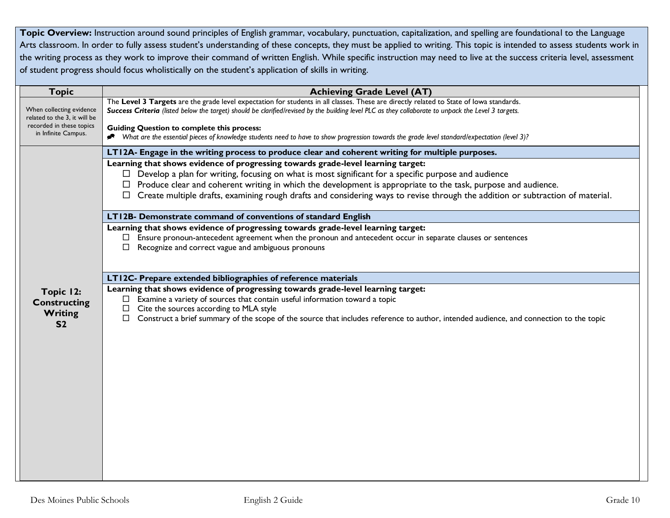Topic Overview: Instruction around sound principles of English grammar, vocabulary, punctuation, capitalization, and spelling are foundational to the Language Arts classroom. In order to fully assess student's understanding of these concepts, they must be applied to writing. This topic is intended to assess students work in the writing process as they work to improve their command of written English. While specific instruction may need to live at the success criteria level, assessment of student progress should focus wholistically on the student's application of skills in writing.

| <b>Topic</b>                                                                                                                                                                        | <b>Achieving Grade Level (AT)</b>                                                                                                                                                                                                                                                              |  |  |
|-------------------------------------------------------------------------------------------------------------------------------------------------------------------------------------|------------------------------------------------------------------------------------------------------------------------------------------------------------------------------------------------------------------------------------------------------------------------------------------------|--|--|
| When collecting evidence<br>related to the 3, it will be                                                                                                                            | The Level 3 Targets are the grade level expectation for students in all classes. These are directly related to State of lowa standards.<br>Success Criteria (listed below the target) should be clarified/revised by the building level PLC as they collaborate to unpack the Level 3 targets. |  |  |
| recorded in these topics<br>in Infinite Campus.                                                                                                                                     | <b>Guiding Question to complete this process:</b><br>Nhat are the essential pieces of knowledge students need to have to show progression towards the grade level standard/expectation (level 3)?                                                                                              |  |  |
|                                                                                                                                                                                     | LT12A- Engage in the writing process to produce clear and coherent writing for multiple purposes.                                                                                                                                                                                              |  |  |
|                                                                                                                                                                                     | Learning that shows evidence of progressing towards grade-level learning target:                                                                                                                                                                                                               |  |  |
|                                                                                                                                                                                     | $\Box$ Develop a plan for writing, focusing on what is most significant for a specific purpose and audience<br>$\Box$ Produce clear and coherent writing in which the development is appropriate to the task, purpose and audience.                                                            |  |  |
|                                                                                                                                                                                     | $\Box$ Create multiple drafts, examining rough drafts and considering ways to revise through the addition or subtraction of material.                                                                                                                                                          |  |  |
|                                                                                                                                                                                     | LT12B- Demonstrate command of conventions of standard English                                                                                                                                                                                                                                  |  |  |
|                                                                                                                                                                                     | Learning that shows evidence of progressing towards grade-level learning target:                                                                                                                                                                                                               |  |  |
|                                                                                                                                                                                     | $\Box$ Ensure pronoun-antecedent agreement when the pronoun and antecedent occur in separate clauses or sentences<br>Recognize and correct vague and ambiguous pronouns<br>$\Box$                                                                                                              |  |  |
|                                                                                                                                                                                     |                                                                                                                                                                                                                                                                                                |  |  |
|                                                                                                                                                                                     | LT12C- Prepare extended bibliographies of reference materials                                                                                                                                                                                                                                  |  |  |
| Learning that shows evidence of progressing towards grade-level learning target:<br>Topic 12:<br>$\Box$ Examine a variety of sources that contain useful information toward a topic |                                                                                                                                                                                                                                                                                                |  |  |
| <b>Constructing</b>                                                                                                                                                                 | Cite the sources according to MLA style<br>$\Box$                                                                                                                                                                                                                                              |  |  |
| Writing<br>S <sub>2</sub>                                                                                                                                                           | Construct a brief summary of the scope of the source that includes reference to author, intended audience, and connection to the topic<br>$\Box$                                                                                                                                               |  |  |
|                                                                                                                                                                                     |                                                                                                                                                                                                                                                                                                |  |  |
|                                                                                                                                                                                     |                                                                                                                                                                                                                                                                                                |  |  |
|                                                                                                                                                                                     |                                                                                                                                                                                                                                                                                                |  |  |
|                                                                                                                                                                                     |                                                                                                                                                                                                                                                                                                |  |  |
|                                                                                                                                                                                     |                                                                                                                                                                                                                                                                                                |  |  |
|                                                                                                                                                                                     |                                                                                                                                                                                                                                                                                                |  |  |
|                                                                                                                                                                                     |                                                                                                                                                                                                                                                                                                |  |  |
|                                                                                                                                                                                     |                                                                                                                                                                                                                                                                                                |  |  |
|                                                                                                                                                                                     |                                                                                                                                                                                                                                                                                                |  |  |
|                                                                                                                                                                                     |                                                                                                                                                                                                                                                                                                |  |  |
|                                                                                                                                                                                     |                                                                                                                                                                                                                                                                                                |  |  |